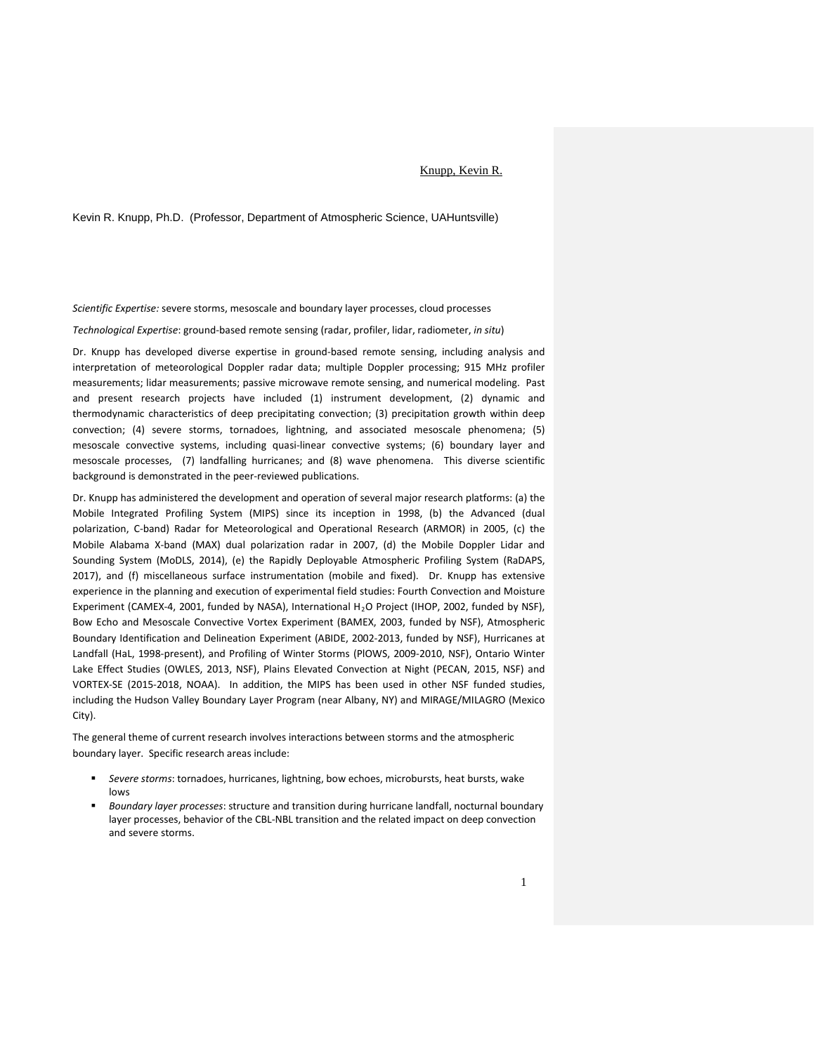## Knupp, Kevin R.

Kevin R. Knupp, Ph.D. (Professor, Department of Atmospheric Science, UAHuntsville)

*Scientific Expertise:* severe storms, mesoscale and boundary layer processes, cloud processes

*Technological Expertise*: ground-based remote sensing (radar, profiler, lidar, radiometer, *in situ*)

Dr. Knupp has developed diverse expertise in ground-based remote sensing, including analysis and interpretation of meteorological Doppler radar data; multiple Doppler processing; 915 MHz profiler measurements; lidar measurements; passive microwave remote sensing, and numerical modeling. Past and present research projects have included (1) instrument development, (2) dynamic and thermodynamic characteristics of deep precipitating convection; (3) precipitation growth within deep convection; (4) severe storms, tornadoes, lightning, and associated mesoscale phenomena; (5) mesoscale convective systems, including quasi-linear convective systems; (6) boundary layer and mesoscale processes, (7) landfalling hurricanes; and (8) wave phenomena. This diverse scientific background is demonstrated in the peer-reviewed publications.

Dr. Knupp has administered the development and operation of several major research platforms: (a) the Mobile Integrated Profiling System (MIPS) since its inception in 1998, (b) the Advanced (dual polarization, C-band) Radar for Meteorological and Operational Research (ARMOR) in 2005, (c) the Mobile Alabama X-band (MAX) dual polarization radar in 2007, (d) the Mobile Doppler Lidar and Sounding System (MoDLS, 2014), (e) the Rapidly Deployable Atmospheric Profiling System (RaDAPS, 2017), and (f) miscellaneous surface instrumentation (mobile and fixed). Dr. Knupp has extensive experience in the planning and execution of experimental field studies: Fourth Convection and Moisture Experiment (CAMEX-4, 2001, funded by NASA), International H<sub>2</sub>O Project (IHOP, 2002, funded by NSF), Bow Echo and Mesoscale Convective Vortex Experiment (BAMEX, 2003, funded by NSF), Atmospheric Boundary Identification and Delineation Experiment (ABIDE, 2002-2013, funded by NSF), Hurricanes at Landfall (HaL, 1998-present), and Profiling of Winter Storms (PlOWS, 2009-2010, NSF), Ontario Winter Lake Effect Studies (OWLES, 2013, NSF), Plains Elevated Convection at Night (PECAN, 2015, NSF) and VORTEX-SE (2015-2018, NOAA). In addition, the MIPS has been used in other NSF funded studies, including the Hudson Valley Boundary Layer Program (near Albany, NY) and MIRAGE/MILAGRO (Mexico City).

The general theme of current research involves interactions between storms and the atmospheric boundary layer. Specific research areas include:

- *Severe storms*: tornadoes, hurricanes, lightning, bow echoes, microbursts, heat bursts, wake lows
- *Boundary layer processes*: structure and transition during hurricane landfall, nocturnal boundary layer processes, behavior of the CBL-NBL transition and the related impact on deep convection and severe storms.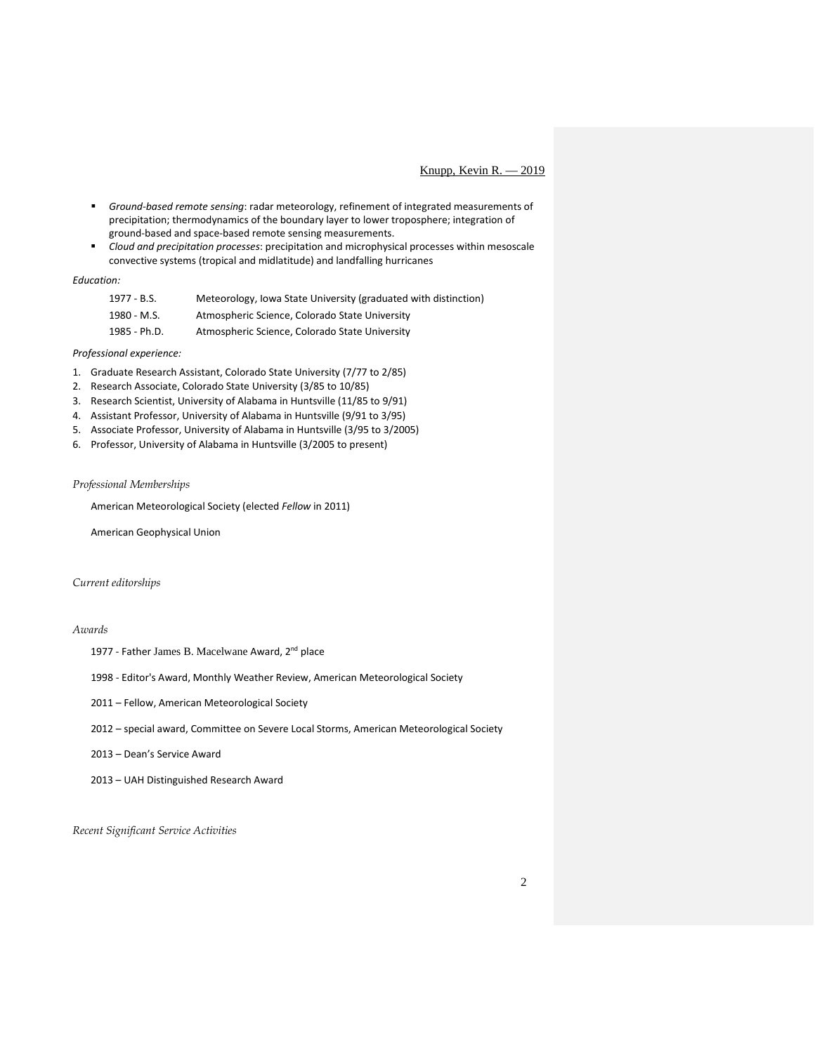# Knupp, Kevin R. — 2019

- *Ground-based remote sensing*: radar meteorology, refinement of integrated measurements of precipitation; thermodynamics of the boundary layer to lower troposphere; integration of ground-based and space-based remote sensing measurements.
- *Cloud and precipitation processes*: precipitation and microphysical processes within mesoscale convective systems (tropical and midlatitude) and landfalling hurricanes

## *Education:*

| 1977 - B.S.  | Meteorology, Iowa State University (graduated with distinction) |
|--------------|-----------------------------------------------------------------|
| 1980 - M.S.  | Atmospheric Science, Colorado State University                  |
| 1985 - Ph.D. | Atmospheric Science, Colorado State University                  |

# *Professional experience:*

- 1. Graduate Research Assistant, Colorado State University (7/77 to 2/85)
- 2. Research Associate, Colorado State University (3/85 to 10/85)
- 3. Research Scientist, University of Alabama in Huntsville (11/85 to 9/91)
- 4. Assistant Professor, University of Alabama in Huntsville (9/91 to 3/95)
- 5. Associate Professor, University of Alabama in Huntsville (3/95 to 3/2005)
- 6. Professor, University of Alabama in Huntsville (3/2005 to present)

# *Professional Memberships*

American Meteorological Society (elected *Fellow* in 2011)

American Geophysical Union

# *Current editorships*

# *Awards*

1977 - Father James B. Macelwane Award, 2<sup>nd</sup> place

1998 - Editor's Award, Monthly Weather Review, American Meteorological Society

- 2011 Fellow, American Meteorological Society
- 2012 special award, Committee on Severe Local Storms, American Meteorological Society

# 2013 – Dean's Service Award

2013 – UAH Distinguished Research Award

*Recent Significant Service Activities*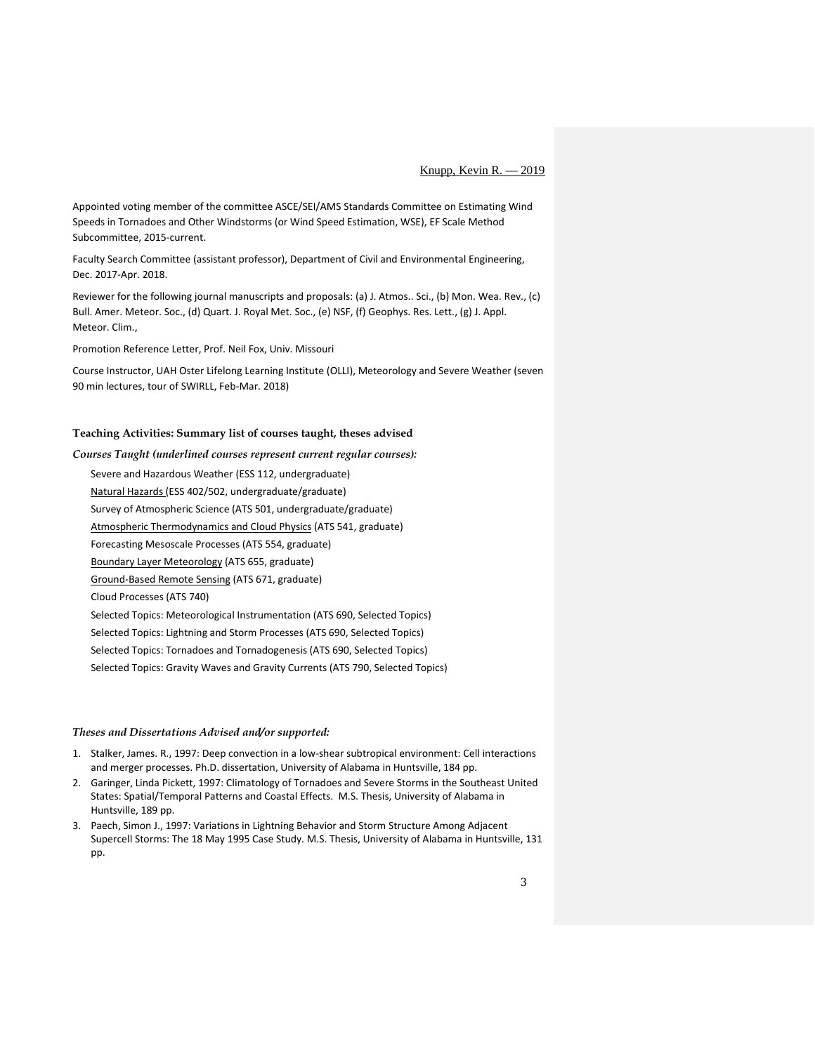Appointed voting member of the committee ASCE/SEI/AMS Standards Committee on Estimating Wind Speeds in Tornadoes and Other Windstorms (or Wind Speed Estimation, WSE), EF Scale Method Subcommittee, 2015-current.

Faculty Search Committee (assistant professor), Department of Civil and Environmental Engineering, Dec. 2017-Apr. 2018.

Reviewer for the following journal manuscripts and proposals: (a) J. Atmos.. Sci., (b) Mon. Wea. Rev., (c) Bull. Amer. Meteor. Soc., (d) Quart. J. Royal Met. Soc., (e) NSF, (f) Geophys. Res. Lett., (g) J. Appl. Meteor. Clim.,

Promotion Reference Letter, Prof. Neil Fox, Univ. Missouri

Course Instructor, UAH Oster Lifelong Learning Institute (OLLI), Meteorology and Severe Weather (seven 90 min lectures, tour of SWIRLL, Feb-Mar. 2018)

# **Teaching Activities: Summary list of courses taught, theses advised**

*Courses Taught (underlined courses represent current regular courses):* Severe and Hazardous Weather (ESS 112, undergraduate) Natural Hazards (ESS 402/502, undergraduate/graduate) Survey of Atmospheric Science (ATS 501, undergraduate/graduate) Atmospheric Thermodynamics and Cloud Physics (ATS 541, graduate) Forecasting Mesoscale Processes (ATS 554, graduate) Boundary Layer Meteorology (ATS 655, graduate) Ground-Based Remote Sensing (ATS 671, graduate) Cloud Processes (ATS 740) Selected Topics: Meteorological Instrumentation (ATS 690, Selected Topics) Selected Topics: Lightning and Storm Processes (ATS 690, Selected Topics) Selected Topics: Tornadoes and Tornadogenesis (ATS 690, Selected Topics) Selected Topics: Gravity Waves and Gravity Currents (ATS 790, Selected Topics)

#### *Theses and Dissertations Advised and/or supported:*

- 1. Stalker, James. R., 1997: Deep convection in a low-shear subtropical environment: Cell interactions and merger processes. Ph.D. dissertation, University of Alabama in Huntsville, 184 pp.
- 2. Garinger, Linda Pickett, 1997: Climatology of Tornadoes and Severe Storms in the Southeast United States: Spatial/Temporal Patterns and Coastal Effects. M.S. Thesis, University of Alabama in Huntsville, 189 pp.
- 3. Paech, Simon J., 1997: Variations in Lightning Behavior and Storm Structure Among Adjacent Supercell Storms: The 18 May 1995 Case Study. M.S. Thesis, University of Alabama in Huntsville, 131 pp.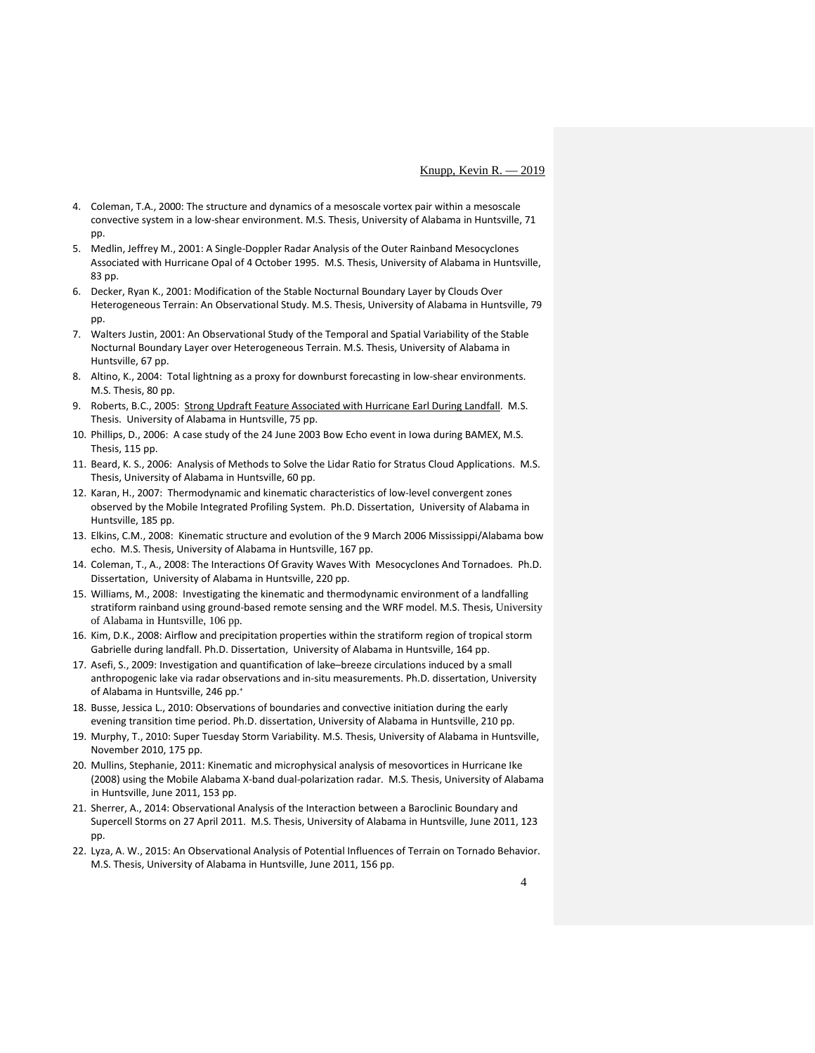- 4. Coleman, T.A., 2000: The structure and dynamics of a mesoscale vortex pair within a mesoscale convective system in a low-shear environment. M.S. Thesis, University of Alabama in Huntsville, 71 pp.
- 5. Medlin, Jeffrey M., 2001: A Single-Doppler Radar Analysis of the Outer Rainband Mesocyclones Associated with Hurricane Opal of 4 October 1995. M.S. Thesis, University of Alabama in Huntsville, 83 pp.
- 6. Decker, Ryan K., 2001: Modification of the Stable Nocturnal Boundary Layer by Clouds Over Heterogeneous Terrain: An Observational Study. M.S. Thesis, University of Alabama in Huntsville, 79 pp.
- 7. Walters Justin, 2001: An Observational Study of the Temporal and Spatial Variability of the Stable Nocturnal Boundary Layer over Heterogeneous Terrain. M.S. Thesis, University of Alabama in Huntsville, 67 pp.
- 8. Altino, K., 2004: Total lightning as a proxy for downburst forecasting in low-shear environments. M.S. Thesis, 80 pp.
- 9. Roberts, B.C., 2005: [Strong Updraft Feature Associated with Hurricane Earl During Landfall.](http://ams.confex.com/ams/26HURR/techprogram/paper_75896.htm) M.S. Thesis. University of Alabama in Huntsville, 75 pp.
- 10. Phillips, D., 2006: A case study of the 24 June 2003 Bow Echo event in Iowa during BAMEX, M.S. Thesis, 115 pp.
- 11. Beard, K. S., 2006: Analysis of Methods to Solve the Lidar Ratio for Stratus Cloud Applications. M.S. Thesis, University of Alabama in Huntsville, 60 pp.
- 12. Karan, H., 2007: Thermodynamic and kinematic characteristics of low-level convergent zones observed by the Mobile Integrated Profiling System. Ph.D. Dissertation, University of Alabama in Huntsville, 185 pp.
- 13. Elkins, C.M., 2008: Kinematic structure and evolution of the 9 March 2006 Mississippi/Alabama bow echo. M.S. Thesis, University of Alabama in Huntsville, 167 pp.
- 14. Coleman, T., A., 2008: The Interactions Of Gravity Waves With Mesocyclones And Tornadoes. Ph.D. Dissertation, University of Alabama in Huntsville, 220 pp.
- 15. Williams, M., 2008: Investigating the kinematic and thermodynamic environment of a landfalling stratiform rainband using ground-based remote sensing and the WRF model. M.S. Thesis, University of Alabama in Huntsville, 106 pp.
- 16. Kim, D.K., 2008: Airflow and precipitation properties within the stratiform region of tropical storm Gabrielle during landfall. Ph.D. Dissertation, University of Alabama in Huntsville, 164 pp.
- 17. Asefi, S., 2009: Investigation and quantification of lake–breeze circulations induced by a small anthropogenic lake via radar observations and in-situ measurements. Ph.D. dissertation, University of Alabama in Huntsville, 246 pp.<sup>+</sup>
- 18. Busse, Jessica L., 2010: Observations of boundaries and convective initiation during the early evening transition time period. Ph.D. dissertation, University of Alabama in Huntsville, 210 pp.
- 19. Murphy, T., 2010: Super Tuesday Storm Variability. M.S. Thesis, University of Alabama in Huntsville, November 2010, 175 pp.
- 20. Mullins, Stephanie, 2011: Kinematic and microphysical analysis of mesovortices in Hurricane Ike (2008) using the Mobile Alabama X-band dual-polarization radar. M.S. Thesis, University of Alabama in Huntsville, June 2011, 153 pp.
- 21. Sherrer, A., 2014: Observational Analysis of the Interaction between a Baroclinic Boundary and Supercell Storms on 27 April 2011. M.S. Thesis, University of Alabama in Huntsville, June 2011, 123 pp.
- 22. Lyza, A. W., 2015: An Observational Analysis of Potential Influences of Terrain on Tornado Behavior. M.S. Thesis, University of Alabama in Huntsville, June 2011, 156 pp.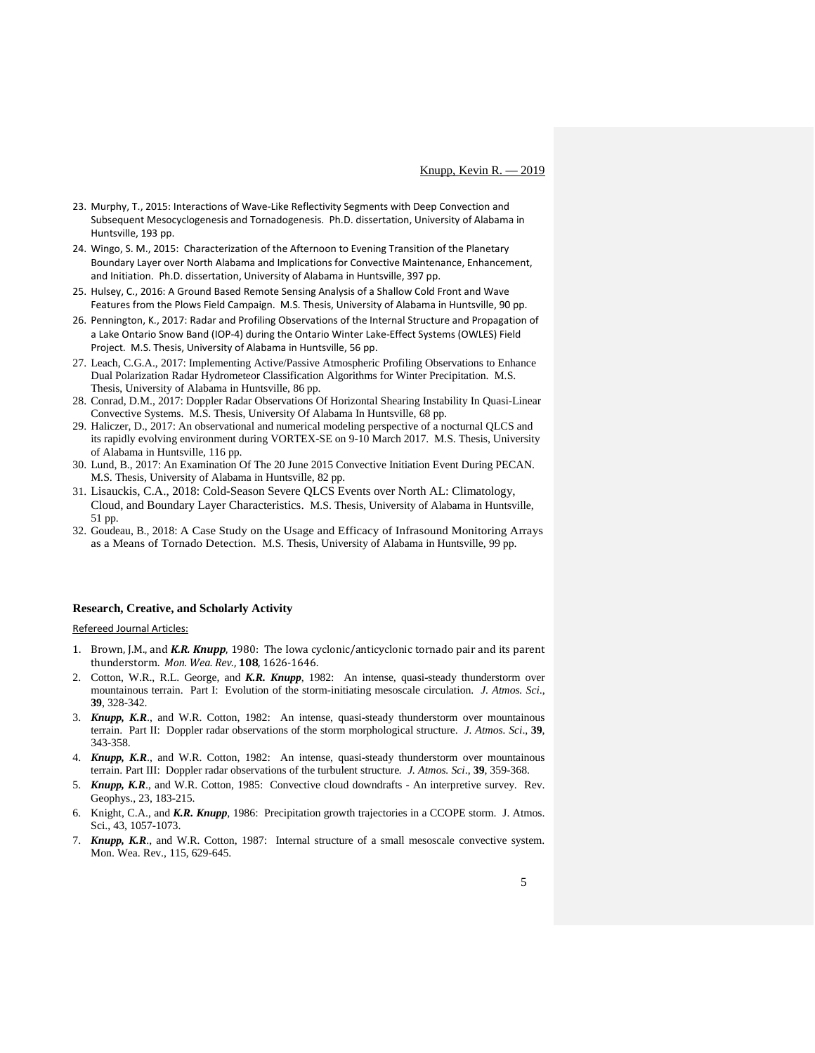- 23. Murphy, T., 2015: Interactions of Wave-Like Reflectivity Segments with Deep Convection and Subsequent Mesocyclogenesis and Tornadogenesis. Ph.D. dissertation, University of Alabama in Huntsville, 193 pp.
- 24. Wingo, S. M., 2015: Characterization of the Afternoon to Evening Transition of the Planetary Boundary Layer over North Alabama and Implications for Convective Maintenance, Enhancement, and Initiation. Ph.D. dissertation, University of Alabama in Huntsville, 397 pp.
- 25. Hulsey, C., 2016: A Ground Based Remote Sensing Analysis of a Shallow Cold Front and Wave Features from the Plows Field Campaign. M.S. Thesis, University of Alabama in Huntsville, 90 pp.
- 26. Pennington, K., 2017: Radar and Profiling Observations of the Internal Structure and Propagation of a Lake Ontario Snow Band (IOP-4) during the Ontario Winter Lake-Effect Systems (OWLES) Field Project. M.S. Thesis, University of Alabama in Huntsville, 56 pp.
- 27. Leach, C.G.A., 2017: Implementing Active/Passive Atmospheric Profiling Observations to Enhance Dual Polarization Radar Hydrometeor Classification Algorithms for Winter Precipitation. M.S. Thesis, University of Alabama in Huntsville, 86 pp.
- 28. Conrad, D.M., 2017: Doppler Radar Observations Of Horizontal Shearing Instability In Quasi-Linear Convective Systems. M.S. Thesis, University Of Alabama In Huntsville, 68 pp.
- 29. Haliczer, D., 2017: An observational and numerical modeling perspective of a nocturnal QLCS and its rapidly evolving environment during VORTEX-SE on 9-10 March 2017. M.S. Thesis, University of Alabama in Huntsville, 116 pp.
- 30. Lund, B., 2017: An Examination Of The 20 June 2015 Convective Initiation Event During PECAN. M.S. Thesis, University of Alabama in Huntsville, 82 pp.
- 31. Lisauckis, C.A., 2018: Cold-Season Severe QLCS Events over North AL: Climatology, Cloud, and Boundary Layer Characteristics. M.S. Thesis, University of Alabama in Huntsville, 51 pp.
- 32. Goudeau, B., 2018: A Case Study on the Usage and Efficacy of Infrasound Monitoring Arrays as a Means of Tornado Detection. M.S. Thesis, University of Alabama in Huntsville, 99 pp.

#### **Research, Creative, and Scholarly Activity**

Refereed Journal Articles:

- 1. Brown, J.M., and *K.R. Knupp*, 1980: The Iowa cyclonic/anticyclonic tornado pair and its parent thunderstorm. *Mon. Wea. Rev*., **108**, 1626-1646.
- 2. Cotton, W.R., R.L. George, and *K.R. Knupp*, 1982: An intense, quasi-steady thunderstorm over mountainous terrain. Part I: Evolution of the storm-initiating mesoscale circulation. *J. Atmos. Sci*., **39**, 328-342.
- 3. *Knupp, K.R*., and W.R. Cotton, 1982: An intense, quasi-steady thunderstorm over mountainous terrain. Part II: Doppler radar observations of the storm morphological structure. *J. Atmos. Sci*., **39**, 343-358.
- 4. *Knupp, K.R*., and W.R. Cotton, 1982: An intense, quasi-steady thunderstorm over mountainous terrain. Part III: Doppler radar observations of the turbulent structure*. J. Atmos. Sci*., **39**, 359-368.
- 5. *Knupp, K.R*., and W.R. Cotton, 1985: Convective cloud downdrafts An interpretive survey. Rev. Geophys., 23, 183-215.
- 6. Knight, C.A., and *K.R. Knupp*, 1986: Precipitation growth trajectories in a CCOPE storm. J. Atmos. Sci., 43, 1057-1073.
- 7. *Knupp, K.R*., and W.R. Cotton, 1987: Internal structure of a small mesoscale convective system. Mon. Wea. Rev., 115, 629-645.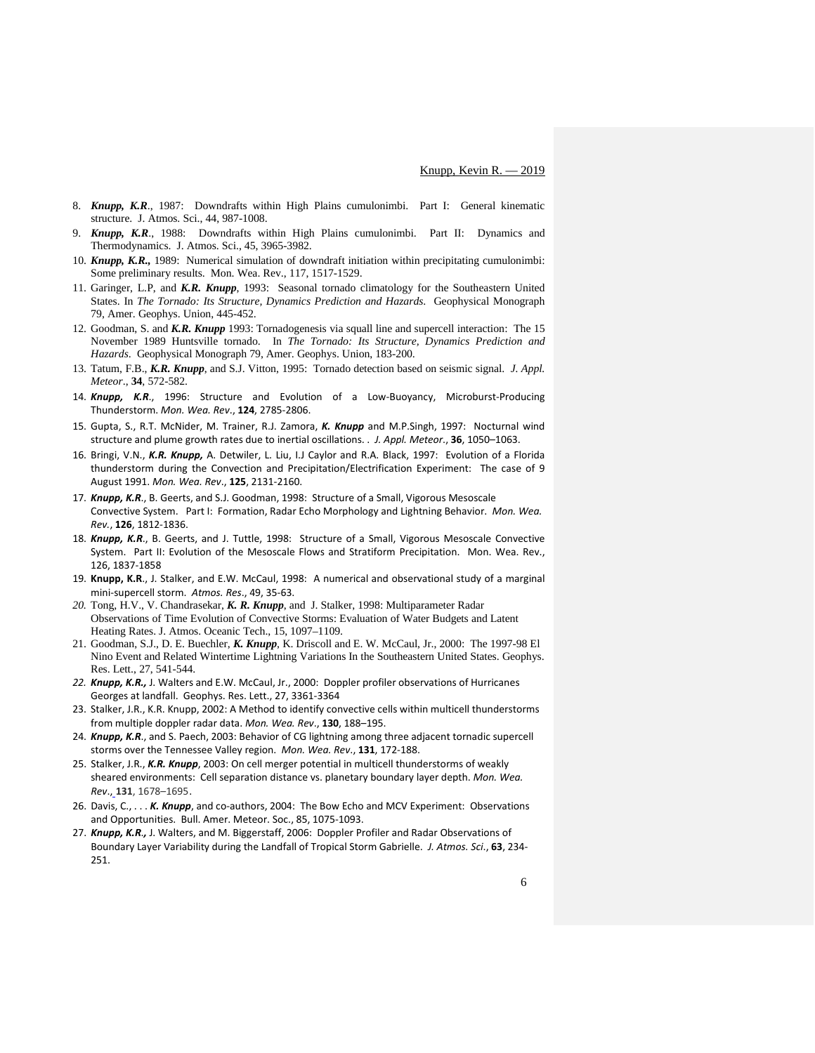- 8. *Knupp, K.R*., 1987: Downdrafts within High Plains cumulonimbi. Part I: General kinematic structure. J. Atmos. Sci., 44, 987-1008.
- 9. *Knupp, K.R*., 1988: Downdrafts within High Plains cumulonimbi. Part II: Dynamics and Thermodynamics. J. Atmos. Sci., 45, 3965-3982.
- 10. *Knupp, K.R.,* 1989: Numerical simulation of downdraft initiation within precipitating cumulonimbi: Some preliminary results. Mon. Wea. Rev., 117, 1517-1529.
- 11. Garinger, L.P, and *K.R. Knupp*, 1993: Seasonal tornado climatology for the Southeastern United States. In *The Tornado: Its Structure, Dynamics Prediction and Hazards*. Geophysical Monograph 79, Amer. Geophys. Union, 445-452.
- 12. Goodman, S. and *K.R. Knupp* 1993: Tornadogenesis via squall line and supercell interaction: The 15 November 1989 Huntsville tornado. In *The Tornado: Its Structure, Dynamics Prediction and Hazards*. Geophysical Monograph 79, Amer. Geophys. Union, 183-200.
- 13. Tatum, F.B., *K.R. Knupp*, and S.J. Vitton, 1995: Tornado detection based on seismic signal. *J. Appl. Meteor*., **34**, 572-582.
- 14. *Knupp, K.R*., 1996: Structure and Evolution of a Low-Buoyancy, Microburst-Producing Thunderstorm. *Mon. Wea. Rev*., **124**, 2785-2806.
- 15. Gupta, S., R.T. McNider, M. Trainer, R.J. Zamora, *K. Knupp* and M.P.Singh, 1997: Nocturnal wind structure and plume growth rates due to inertial oscillations. . *J. Appl. Meteor*., **36**, 1050–1063.
- 16. Bringi, V.N., *K.R. Knupp,* A. Detwiler, L. Liu, I.J Caylor and R.A. Black, 1997: Evolution of a Florida thunderstorm during the Convection and Precipitation/Electrification Experiment: The case of 9 August 1991. *Mon. Wea. Rev*., **125**, 2131-2160.
- 17. *Knupp, K.R*., B. Geerts, and S.J. Goodman, 1998: Structure of a Small, Vigorous Mesoscale Convective System. Part I: Formation, Radar Echo Morphology and Lightning Behavior. *Mon. Wea. Rev.*, **126**, 1812-1836.
- 18. *Knupp, K.R*., B. Geerts, and J. Tuttle, 1998: Structure of a Small, Vigorous Mesoscale Convective System. Part II: Evolution of the Mesoscale Flows and Stratiform Precipitation. Mon. Wea. Rev., 126, 1837-1858
- 19. **Knupp, K.R**., J. Stalker, and E.W. McCaul, 1998: A numerical and observational study of a marginal mini-supercell storm. *Atmos. Res*., 49, 35-63.
- *20.* Tong, H.V., V. Chandrasekar, *K. R. Knupp*, and J. Stalker, 1998: Multiparameter Radar Observations of Time Evolution of Convective Storms: Evaluation of Water Budgets and Latent Heating Rates. J. Atmos. Oceanic Tech., 15, 1097–1109.
- 21. Goodman, S.J., D. E. Buechler, *K. Knupp*, K. Driscoll and E. W. McCaul, Jr., 2000: The 1997-98 El Nino Event and Related Wintertime Lightning Variations In the Southeastern United States. Geophys. Res. Lett., 27, 541-544.
- *22. Knupp, K.R.,* J. Walters and E.W. McCaul, Jr., 2000: Doppler profiler observations of Hurricanes Georges at landfall. Geophys. Res. Lett., 27, 3361-3364
- 23. Stalker, J.R., K.R. Knupp, 2002: A Method to identify convective cells within multicell thunderstorms from multiple doppler radar data. *Mon. Wea. Rev*., **130**, 188–195.
- 24. *Knupp, K.R*., and S. Paech, 2003: Behavior of CG lightning among three adjacent tornadic supercell storms over the Tennessee Valley region. *Mon. Wea. Rev*., **131**, 172-188.
- 25. Stalker, J.R., *K.R. Knupp*, 2003: On cell merger potential in multicell thunderstorms of weakly sheared environments: Cell separation distance vs. planetary boundary layer depth. *Mon. Wea. Rev*., **131**, 1678–1695.
- 26. Davis, C., . . . *K. Knupp*, and co-authors, 2004: The Bow Echo and MCV Experiment: Observations and Opportunities. Bull. Amer. Meteor. Soc., 85, 1075-1093.
- 27. Knupp, K.R., J. Walters, and M. Biggerstaff, 2006: Doppler Profiler and Radar Observations of Boundary Layer Variability during the Landfall of Tropical Storm Gabrielle. *J. Atmos. Sci*., **63**, 234- 251.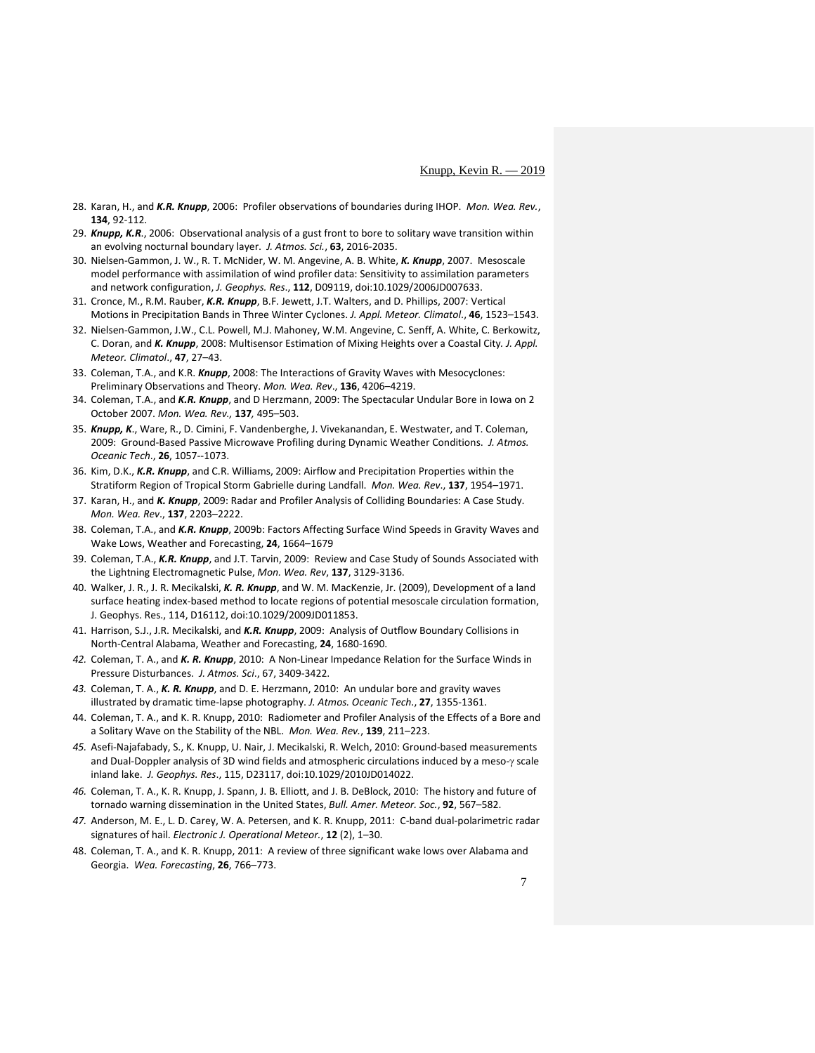- 28. Karan, H., and *K.R. Knupp*, 2006: [Profiler observations of boundaries during IHOP.](http://www.atmos.ucla.edu/%7Ehanne/ihopissue/Karan.html) *Mon. Wea. Rev.*, **134**, 92-112.
- 29. *Knupp, K.R*., 2006: Observational analysis of a gust front to bore to solitary wave transition within an evolving nocturnal boundary layer. *J. Atmos. Sci.*, **63**, 2016-2035.
- 30. Nielsen-Gammon, J. W., R. T. McNider, W. M. Angevine, A. B. White, *K. Knupp*, 2007. Mesoscale model performance with assimilation of wind profiler data: Sensitivity to assimilation parameters and network configuration, *J. Geophys. Res*., **112**, D09119, doi:10.1029/2006JD007633.
- 31. Cronce, M., R.M. Rauber, *K.R. Knupp*, B.F. Jewett, J.T. Walters, and D. Phillips, 2007: Vertical Motions in Precipitation Bands in Three Winter Cyclones. *J. Appl. Meteor. Climatol*., **46**, 1523–1543.
- 32. Nielsen-Gammon, J.W., C.L. Powell, M.J. Mahoney, W.M. Angevine, C. Senff, A. White, C. Berkowitz, C. Doran, and *K. Knupp*, 2008: Multisensor Estimation of Mixing Heights over a Coastal City*. J. Appl. Meteor. Climatol*., **47**, 27–43.
- 33. Coleman, T.A., and K.R. *Knupp*, 2008: The Interactions of Gravity Waves with Mesocyclones: Preliminary Observations and Theory. *Mon. Wea. Rev*., **136**, 4206–4219.
- 34. Coleman, T.A., and *K.R. Knupp*, and D Herzmann, 2009: The Spectacular Undular Bore in Iowa on 2 October 2007. *Mon. Wea. Rev.,* **137***,* 495–503.
- 35. *Knupp, K*., Ware, R., D. Cimini, F. Vandenberghe, J. Vivekanandan, E. Westwater, and T. Coleman, 2009: Ground-Based Passive Microwave Profiling during Dynamic Weather Conditions. *J. Atmos. Oceanic Tech*., **26**, 1057--1073.
- 36. Kim, D.K., *K.R. Knupp*, and C.R. Williams, 2009: Airflow and Precipitation Properties within the Stratiform Region of Tropical Storm Gabrielle during Landfall. *Mon. Wea. Rev*., **137**, 1954–1971.
- 37. Karan, H., and *K. Knupp*, 2009: Radar and Profiler Analysis of Colliding Boundaries: A Case Study. *Mon. Wea. Rev*., **137**, 2203–2222.
- 38. Coleman, T.A., and *K.R. Knupp*, 2009b: Factors Affecting Surface Wind Speeds in Gravity Waves and Wake Lows, Weather and Forecasting, **24**, 1664–1679
- 39. Coleman, T.A., *K.R. Knupp*, and J.T. Tarvin, 2009: Review and Case Study of Sounds Associated with the Lightning Electromagnetic Pulse, *Mon. Wea. Rev*, **137**, 3129-3136.
- 40. Walker, J. R., J. R. Mecikalski, *K. R. Knupp*, and W. M. MacKenzie, Jr. (2009), Development of a land surface heating index-based method to locate regions of potential mesoscale circulation formation, J. Geophys. Res., 114, D16112, doi:10.1029/2009JD011853.
- 41. Harrison, S.J., J.R. Mecikalski, and *K.R. Knupp*, 2009: Analysis of Outflow Boundary Collisions in North-Central Alabama, Weather and Forecasting, **24**, 1680-1690.
- *42.* Coleman, T. A., and *K. R. Knupp*, 2010: A Non-Linear Impedance Relation for the Surface Winds in Pressure Disturbances. *J. Atmos. Sci*., 67, 3409-3422.
- *43.* Coleman, T. A., *K. R. Knupp*, and D. E. Herzmann, 2010: An undular bore and gravity waves illustrated by dramatic time-lapse photography. *J. Atmos. Oceanic Tech*., **27**, 1355-1361.
- 44. Coleman, T. A., and K. R. Knupp, 2010: Radiometer and Profiler Analysis of the Effects of a Bore and a Solitary Wave on the Stability of the NBL. *Mon. Wea. Rev.*, **139**, 211–223.
- *45.* Asefi-Najafabady, S., K. Knupp, U. Nair, J. Mecikalski, R. Welch, 2010: Ground-based measurements and Dual-Doppler analysis of 3D wind fields and atmospheric circulations induced by a meso-γ scale inland lake. *J. Geophys. Res*., 115, D23117, doi:10.1029/2010JD014022.
- *46.* Coleman, T. A., K. R. Knupp, J. Spann, J. B. Elliott, and J. B. DeBlock, 2010: The history and future of tornado warning dissemination in the United States, *Bull. Amer. Meteor. Soc.*, **92**, 567–582.
- *47.* Anderson, M. E., L. D. Carey, W. A. Petersen, and K. R. Knupp, 2011: C-band dual-polarimetric radar signatures of hail. *Electronic J. Operational Meteor.*, **12** (2), 1–30.
- 48. Coleman, T. A., and K. R. Knupp, 2011: A review of three significant wake lows over Alabama and Georgia. *Wea. Forecasting*, **26**, 766–773.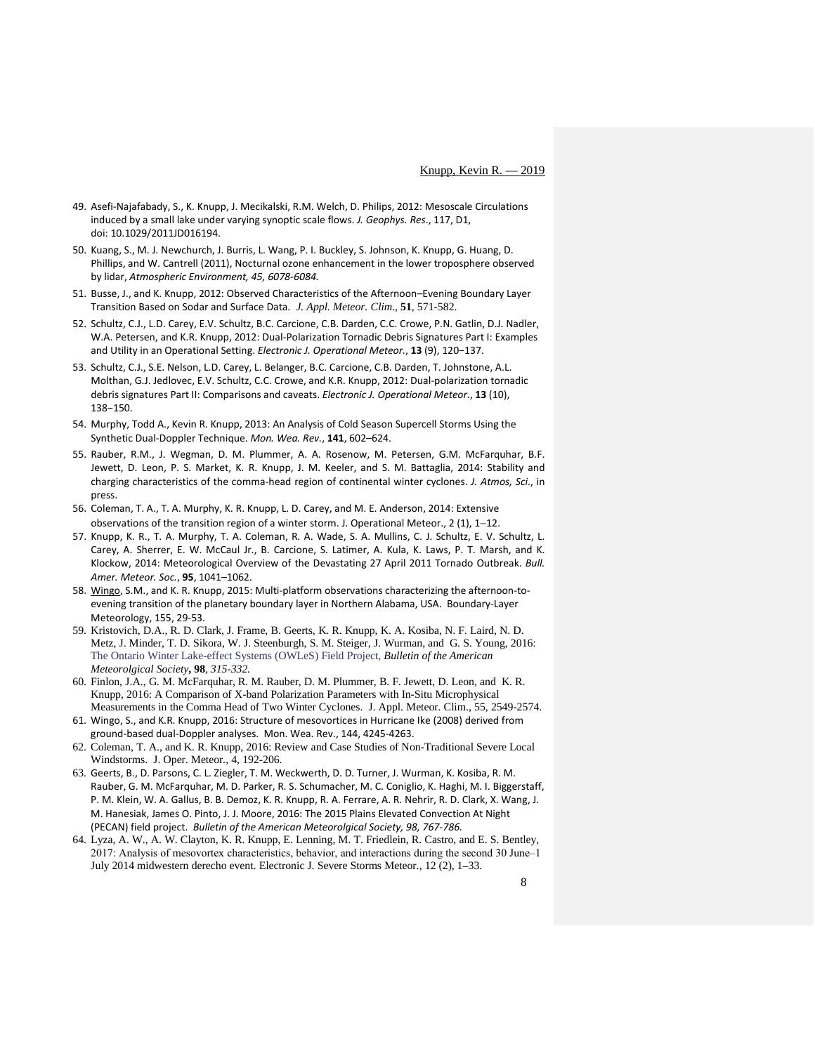- 49. Asefi-Najafabady, S., K. Knupp, J. Mecikalski, R.M. Welch, D. Philips, 2012: Mesoscale Circulations induced by a small lake under varying synoptic scale flows. *J. Geophys. Res*., 117, D1, doi: 10.1029/2011JD016194.
- 50. Kuang, S., M. J. Newchurch, J. Burris, L. Wang, P. I. Buckley, S. Johnson, K. Knupp, G. Huang, D. Phillips, and W. Cantrell (2011), Nocturnal ozone enhancement in the lower troposphere observed by lidar, *Atmospheric Environment, 45, 6078-6084.*
- 51. Busse, J., and K. Knupp, 2012: Observed Characteristics of the Afternoon–Evening Boundary Layer Transition Based on Sodar and Surface Data. *J. Appl. Meteor. Clim*., **51**, 571-582.
- 52. Schultz, C.J., L.D. Carey, E.V. Schultz, B.C. Carcione, C.B. Darden, C.C. Crowe, P.N. Gatlin, D.J. Nadler, W.A. Petersen, and K.R. Knupp, 2012: Dual-Polarization Tornadic Debris Signatures Part I: Examples and Utility in an Operational Setting. *Electronic J. Operational Meteor.*, **13** (9), 120−137.
- 53. Schultz, C.J., S.E. Nelson, L.D. Carey, L. Belanger, B.C. Carcione, C.B. Darden, T. Johnstone, A.L. Molthan, G.J. Jedlovec, E.V. Schultz, C.C. Crowe, and K.R. Knupp, 2012: Dual-polarization tornadic debris signatures Part II: Comparisons and caveats. *Electronic J. Operational Meteor.*, **13** (10), 138−150.
- 54. Murphy, Todd A., Kevin R. Knupp, 2013: An Analysis of Cold Season Supercell Storms Using the Synthetic Dual-Doppler Technique. *Mon. Wea. Rev.*, **141**, 602–624.
- 55. Rauber, R.M., J. Wegman, D. M. Plummer, A. A. Rosenow, M. Petersen, G.M. McFarquhar, B.F. Jewett, D. Leon, P. S. Market, K. R. Knupp, J. M. Keeler, and S. M. Battaglia, 2014: Stability and charging characteristics of the comma-head region of continental winter cyclones. *J. Atmos, Sci*., in press.
- 56. Coleman, T. A., T. A. Murphy, K. R. Knupp, L. D. Carey, and M. E. Anderson, 2014: Extensive observations of the transition region of a winter storm. J. Operational Meteor., 2 (1), 1−12.
- 57. Knupp, K. R., T. A. Murphy, T. A. Coleman, R. A. Wade, S. A. Mullins, C. J. Schultz, E. V. Schultz, L. Carey, A. Sherrer, E. W. McCaul Jr., B. Carcione, S. Latimer, A. Kula, K. Laws, P. T. Marsh, and K. Klockow, 2014: Meteorological Overview of the Devastating 27 April 2011 Tornado Outbreak. *Bull. Amer. Meteor. Soc.*, **95**, 1041–1062.
- 58. [Wingo,](https://www.researchgate.net/researcher/2059971371_Stephanie_M_Wingo) S.M., and K. R. Knupp, 2015: Multi-platform observations characterizing the afternoon-toevening transition of the planetary boundary layer in Northern Alabama, USA. Boundary-Layer Meteorology, 155, 29-53.
- 59. Kristovich, D.A., R. D. Clark, J. Frame, B. Geerts, K. R. Knupp, K. A. Kosiba, N. F. Laird, N. D. Metz, J. Minder, T. D. Sikora, W. J. Steenburgh, S. M. Steiger, J. Wurman, and G. S. Young, 2016: The Ontario Winter Lake-effect Systems (OWLeS) Field Project, *Bulletin of the American Meteorolgical Society***, 98***, 315-332.*
- 60. Finlon, J.A., G. M. McFarquhar, R. M. Rauber, D. M. Plummer, B. F. Jewett, D. Leon, and K. R. Knupp, 2016: A Comparison of X-band Polarization Parameters with In-Situ Microphysical Measurements in the Comma Head of Two Winter Cyclones. J. Appl. Meteor. Clim., 55, 2549-2574.
- 61. Wingo, S., and K.R. Knupp, 2016: Structure of mesovortices in Hurricane Ike (2008) derived from ground-based dual-Doppler analyses. Mon. Wea. Rev., 144, 4245-4263.
- 62. Coleman, T. A., and K. R. Knupp, 2016: Review and Case Studies of Non-Traditional Severe Local Windstorms. J. Oper. Meteor., 4, 192-206.
- 63. Geerts, B., D. Parsons, C. L. Ziegler, T. M. Weckwerth, D. D. Turner, J. Wurman, K. Kosiba, R. M. Rauber, G. M. McFarquhar, M. D. Parker, R. S. Schumacher, M. C. Coniglio, K. Haghi, M. I. Biggerstaff, P. M. Klein, W. A. Gallus, B. B. Demoz, K. R. Knupp, R. A. Ferrare, A. R. Nehrir, R. D. Clark, X. Wang, J. M. Hanesiak, James O. Pinto, J. J. Moore, 2016: The 2015 Plains Elevated Convection At Night (PECAN) field project. *Bulletin of the American Meteorolgical Society, 98, 767-786.*
- 64. Lyza, A. W., A. W. Clayton, K. R. Knupp, E. Lenning, M. T. Friedlein, R. Castro, and E. S. Bentley, 2017: Analysis of mesovortex characteristics, behavior, and interactions during the second 30 June–1 July 2014 midwestern derecho event. Electronic J. Severe Storms Meteor., 12 (2), 1–33.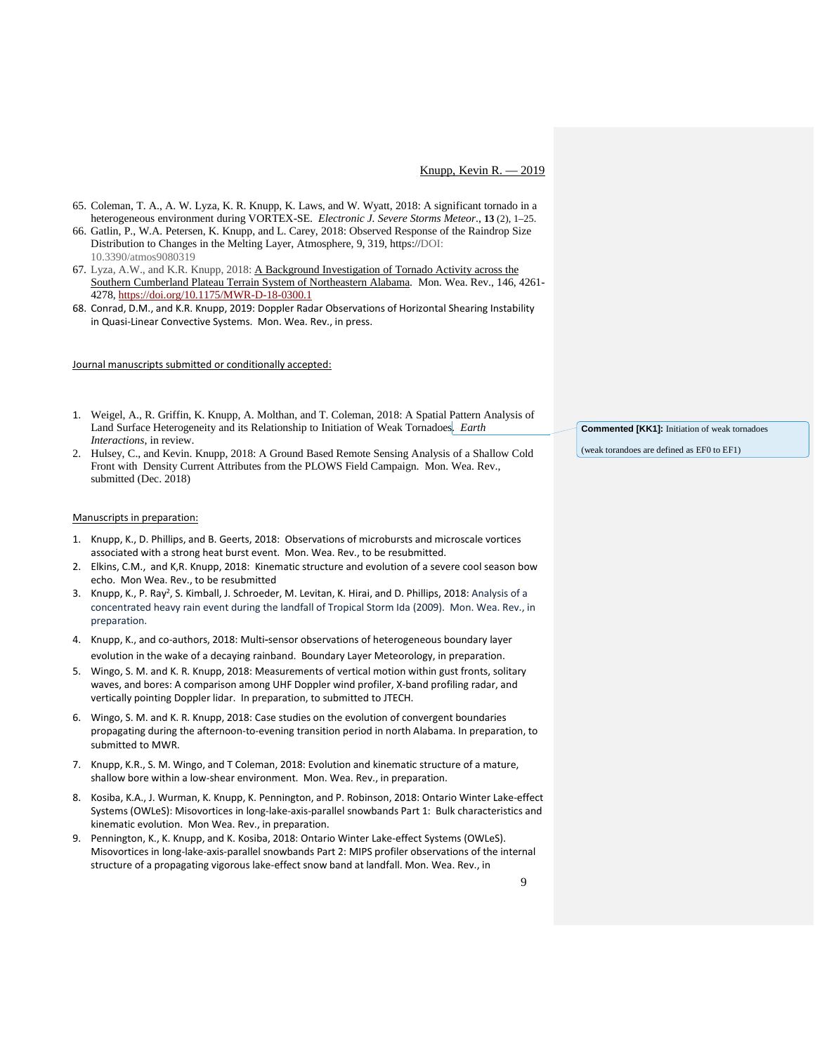- 65. Coleman, T. A., A. W. Lyza, K. R. Knupp, K. Laws, and W. Wyatt, 2018: A significant tornado in a heterogeneous environment during VORTEX-SE. *Electronic J. Severe Storms Meteor*., **13** (2), 1–25.
- 66. Gatlin, P., W.A. Petersen, K. Knupp, and L. Carey, 2018: Observed Response of the Raindrop Size Distribution to Changes in the Melting Layer, Atmosphere, 9, 319, https://DOI: 10.3390/atmos9080319
- 67. Lyza, A.W., and K.R. Knupp, 2018: [A Background Investigation of Tornado Activity across the](https://journals.ametsoc.org/doi/full/10.1175/MWR-D-18-0300.1)  [Southern Cumberland Plateau Terrain System of Northeastern Alabama.](https://journals.ametsoc.org/doi/full/10.1175/MWR-D-18-0300.1) Mon. Wea. Rev., 146, 4261- 4278,<https://doi.org/10.1175/MWR-D-18-0300.1>
- 68. Conrad, D.M., and K.R. Knupp, 2019: Doppler Radar Observations of Horizontal Shearing Instability in Quasi-Linear Convective Systems. Mon. Wea. Rev., in press.

## Journal manuscripts submitted or conditionally accepted:

- 1. Weigel, A., R. Griffin, K. Knupp, A. Molthan, and T. Coleman, 2018: A Spatial Pattern Analysis of Land Surface Heterogeneity and its Relationship to Initiation of Weak Tornadoes.*Earth Interactions*, in review.
- 2. Hulsey, C., and Kevin. Knupp, 2018: A Ground Based Remote Sensing Analysis of a Shallow Cold Front with Density Current Attributes from the PLOWS Field Campaign. Mon. Wea. Rev., submitted (Dec. 2018)

#### Manuscripts in preparation:

- 1. Knupp, K., D. Phillips, and B. Geerts, 2018: Observations of microbursts and microscale vortices associated with a strong heat burst event. Mon. Wea. Rev., to be resubmitted.
- 2. Elkins, C.M., and K,R. Knupp, 2018: Kinematic structure and evolution of a severe cool season bow echo. Mon Wea. Rev., to be resubmitted
- 3. Knupp, K., P. Ray<sup>2</sup>, S. Kimball, J. Schroeder, M. Levitan, K. Hirai, and D. Phillips, 2018: Analysis of a concentrated heavy rain event during the landfall of Tropical Storm Ida (2009). Mon. Wea. Rev., in preparation.
- 4. Knupp, K., and co-authors, 2018: Multi‐sensor observations of heterogeneous boundary layer evolution in the wake of a decaying rainband. Boundary Layer Meteorology, in preparation.
- 5. Wingo, S. M. and K. R. Knupp, 2018: Measurements of vertical motion within gust fronts, solitary waves, and bores: A comparison among UHF Doppler wind profiler, X-band profiling radar, and vertically pointing Doppler lidar. In preparation, to submitted to JTECH.
- 6. Wingo, S. M. and K. R. Knupp, 2018: Case studies on the evolution of convergent boundaries propagating during the afternoon-to-evening transition period in north Alabama. In preparation, to submitted to MWR.
- 7. Knupp, K.R., S. M. Wingo, and T Coleman, 2018: Evolution and kinematic structure of a mature, shallow bore within a low-shear environment. Mon. Wea. Rev., in preparation.
- 8. Kosiba, K.A., J. Wurman, K. Knupp, K. Pennington, and P. Robinson, 2018: Ontario Winter Lake-effect Systems (OWLeS): Misovortices in long-lake-axis-parallel snowbands Part 1: Bulk characteristics and kinematic evolution. Mon Wea. Rev., in preparation.
- 9. Pennington, K., K. Knupp, and K. Kosiba, 2018: Ontario Winter Lake-effect Systems (OWLeS). Misovortices in long-lake-axis-parallel snowbands Part 2: MIPS profiler observations of the internal structure of a propagating vigorous lake-effect snow band at landfall. Mon. Wea. Rev., in

**Commented [KK1]:** Initiation of weak tornadoes

(weak torandoes are defined as EF0 to EF1)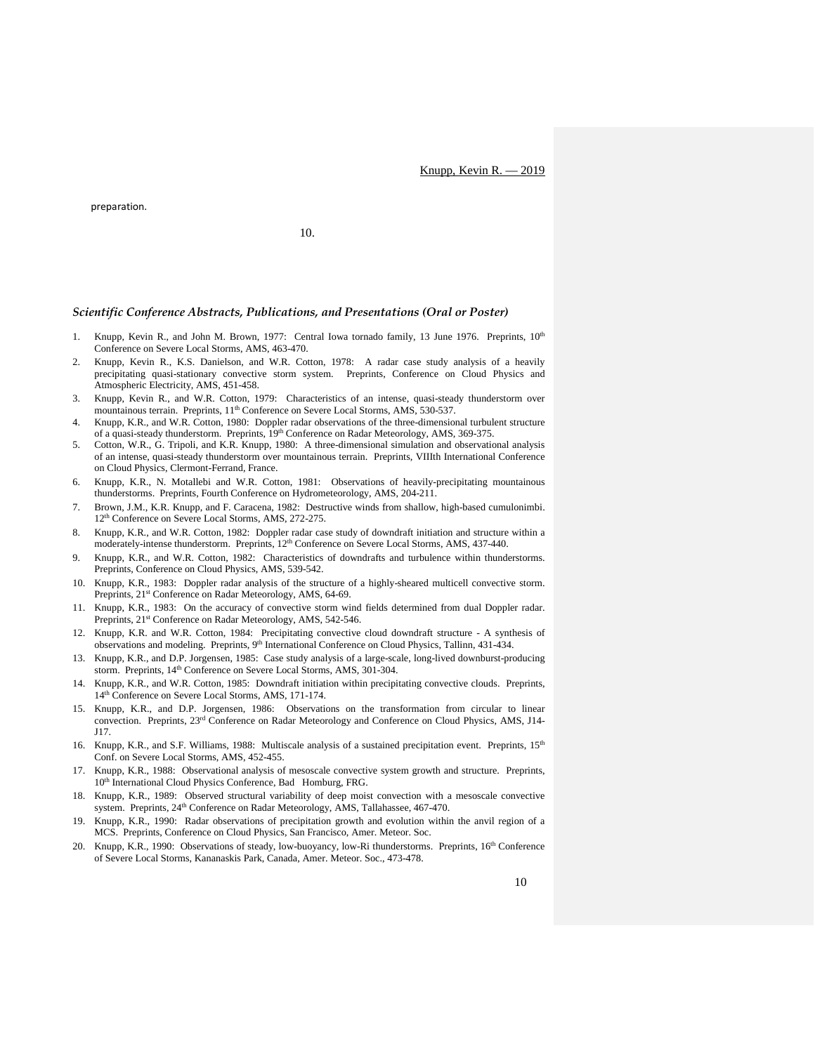Knupp, Kevin R. — 2019

preparation.

10.

#### *Scientific Conference Abstracts, Publications, and Presentations (Oral or Poster)*

- 1. Knupp, Kevin R., and John M. Brown, 1977: Central Iowa tornado family, 13 June 1976. Preprints, 10<sup>th</sup> Conference on Severe Local Storms, AMS, 463-470.
- 2. Knupp, Kevin R., K.S. Danielson, and W.R. Cotton, 1978: A radar case study analysis of a heavily precipitating quasi-stationary convective storm system. Preprints, Conference on Cloud Physics and Atmospheric Electricity, AMS, 451-458.
- 3. Knupp, Kevin R., and W.R. Cotton, 1979: Characteristics of an intense, quasi-steady thunderstorm over mountainous terrain. Preprints, 11<sup>th</sup> Conference on Severe Local Storms, AMS, 530-537.
- 4. Knupp, K.R., and W.R. Cotton, 1980: Doppler radar observations of the three-dimensional turbulent structure of a quasi-steady thunderstorm. Preprints, 19<sup>th</sup> Conference on Radar Meteorology, AMS, 369-375.
- 5. Cotton, W.R., G. Tripoli, and K.R. Knupp, 1980: A three-dimensional simulation and observational analysis of an intense, quasi-steady thunderstorm over mountainous terrain. Preprints, VIIIth International Conference on Cloud Physics, Clermont-Ferrand, France.
- 6. Knupp, K.R., N. Motallebi and W.R. Cotton, 1981: Observations of heavily-precipitating mountainous thunderstorms. Preprints, Fourth Conference on Hydrometeorology, AMS, 204-211.
- 7. Brown, J.M., K.R. Knupp, and F. Caracena, 1982: Destructive winds from shallow, high-based cumulonimbi. 12th Conference on Severe Local Storms, AMS, 272-275.
- 8. Knupp, K.R., and W.R. Cotton, 1982: Doppler radar case study of downdraft initiation and structure within a moderately-intense thunderstorm. Preprints,  $12<sup>th</sup>$  Conference on Severe Local Storms, AMS, 437-440.
- 9. Knupp, K.R., and W.R. Cotton, 1982: Characteristics of downdrafts and turbulence within thunderstorms. Preprints, Conference on Cloud Physics, AMS, 539-542.
- 10. Knupp, K.R., 1983: Doppler radar analysis of the structure of a highly-sheared multicell convective storm. Preprints, 21<sup>st</sup> Conference on Radar Meteorology, AMS, 64-69.
- 11. Knupp, K.R., 1983: On the accuracy of convective storm wind fields determined from dual Doppler radar. Preprints, 21<sup>st</sup> Conference on Radar Meteorology, AMS, 542-546.
- 12. Knupp, K.R. and W.R. Cotton, 1984: Precipitating convective cloud downdraft structure A synthesis of observations and modeling. Preprints, 9<sup>th</sup> International Conference on Cloud Physics, Tallinn, 431-434.
- 13. Knupp, K.R., and D.P. Jorgensen, 1985: Case study analysis of a large-scale, long-lived downburst-producing storm. Preprints, 14<sup>th</sup> Conference on Severe Local Storms, AMS, 301-304.
- 14. Knupp, K.R., and W.R. Cotton, 1985: Downdraft initiation within precipitating convective clouds. Preprints, 14th Conference on Severe Local Storms, AMS, 171-174.
- 15. Knupp, K.R., and D.P. Jorgensen, 1986: Observations on the transformation from circular to linear convection. Preprints, 23rd Conference on Radar Meteorology and Conference on Cloud Physics, AMS, J14- J17.
- 16. Knupp, K.R., and S.F. Williams, 1988: Multiscale analysis of a sustained precipitation event. Preprints, 15<sup>th</sup> Conf. on Severe Local Storms, AMS, 452-455.
- 17. Knupp, K.R., 1988: Observational analysis of mesoscale convective system growth and structure. Preprints, 10<sup>th</sup> International Cloud Physics Conference, Bad Homburg, FRG.
- 18. Knupp, K.R., 1989: Observed structural variability of deep moist convection with a mesoscale convective system. Preprints, 24<sup>th</sup> Conference on Radar Meteorology, AMS, Tallahassee, 467-470.
- 19. Knupp, K.R., 1990: Radar observations of precipitation growth and evolution within the anvil region of a MCS. Preprints, Conference on Cloud Physics, San Francisco, Amer. Meteor. Soc.
- 20. Knupp, K.R., 1990: Observations of steady, low-buoyancy, low-Ri thunderstorms. Preprints, 16<sup>th</sup> Conference of Severe Local Storms, Kananaskis Park, Canada, Amer. Meteor. Soc., 473-478.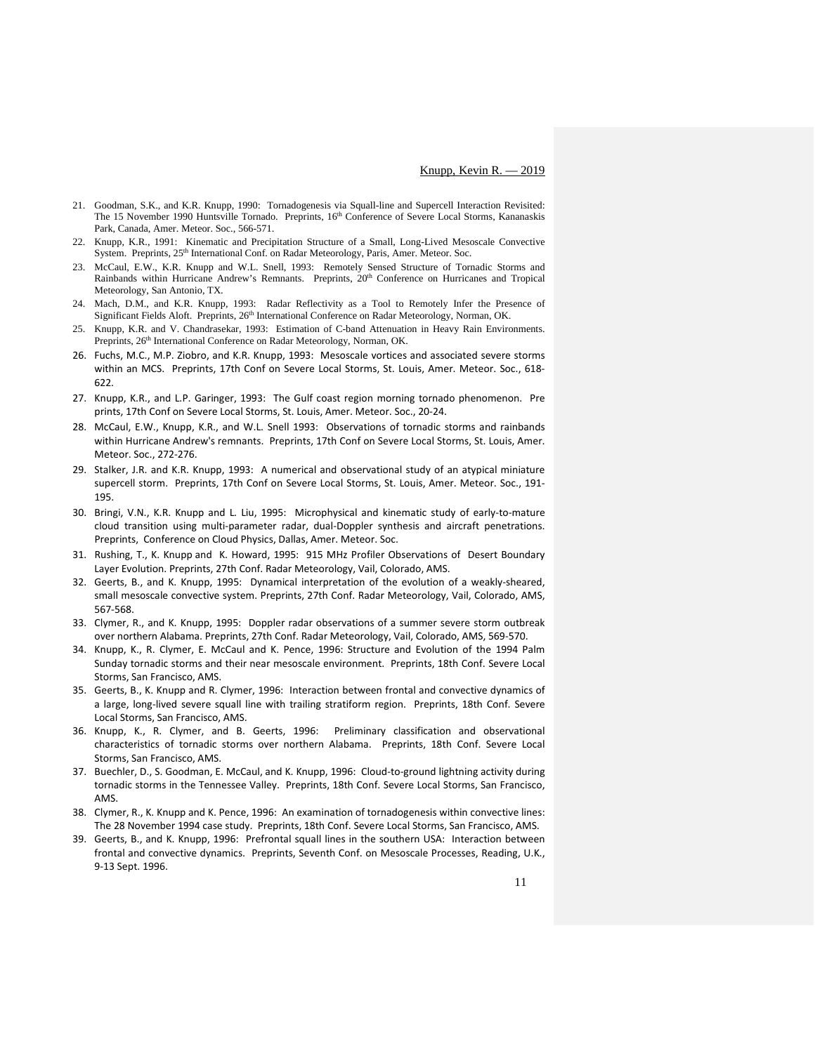- 21. Goodman, S.K., and K.R. Knupp, 1990: Tornadogenesis via Squall-line and Supercell Interaction Revisited: The 15 November 1990 Huntsville Tornado. Preprints, 16<sup>th</sup> Conference of Severe Local Storms, Kananaskis Park, Canada, Amer. Meteor. Soc., 566-571.
- 22. Knupp, K.R., 1991: Kinematic and Precipitation Structure of a Small, Long-Lived Mesoscale Convective System. Preprints, 25<sup>th</sup> International Conf. on Radar Meteorology, Paris, Amer. Meteor. Soc.
- 23. McCaul, E.W., K.R. Knupp and W.L. Snell, 1993: Remotely Sensed Structure of Tornadic Storms and Rainbands within Hurricane Andrew's Remnants. Preprints, 20<sup>th</sup> Conference on Hurricanes and Tropical Meteorology, San Antonio, TX.
- 24. Mach, D.M., and K.R. Knupp, 1993: Radar Reflectivity as a Tool to Remotely Infer the Presence of Significant Fields Aloft. Preprints, 26<sup>th</sup> International Conference on Radar Meteorology, Norman, OK.
- 25. Knupp, K.R. and V. Chandrasekar, 1993: Estimation of C-band Attenuation in Heavy Rain Environments. Preprints, 26<sup>th</sup> International Conference on Radar Meteorology, Norman, OK.
- 26. Fuchs, M.C., M.P. Ziobro, and K.R. Knupp, 1993: Mesoscale vortices and associated severe storms within an MCS. Preprints, 17th Conf on Severe Local Storms, St. Louis, Amer. Meteor. Soc., 618- 622.
- 27. Knupp, K.R., and L.P. Garinger, 1993: The Gulf coast region morning tornado phenomenon. Pre prints, 17th Conf on Severe Local Storms, St. Louis, Amer. Meteor. Soc., 20-24.
- 28. McCaul, E.W., Knupp, K.R., and W.L. Snell 1993: Observations of tornadic storms and rainbands within Hurricane Andrew's remnants. Preprints, 17th Conf on Severe Local Storms, St. Louis, Amer. Meteor. Soc., 272-276.
- 29. Stalker, J.R. and K.R. Knupp, 1993: A numerical and observational study of an atypical miniature supercell storm. Preprints, 17th Conf on Severe Local Storms, St. Louis, Amer. Meteor. Soc., 191- 195.
- 30. Bringi, V.N., K.R. Knupp and L. Liu, 1995: Microphysical and kinematic study of early-to-mature cloud transition using multi-parameter radar, dual-Doppler synthesis and aircraft penetrations. Preprints, Conference on Cloud Physics, Dallas, Amer. Meteor. Soc.
- 31. Rushing, T., K. Knupp and K. Howard, 1995: 915 MHz Profiler Observations of Desert Boundary Layer Evolution. Preprints, 27th Conf. Radar Meteorology, Vail, Colorado, AMS.
- 32. Geerts, B., and K. Knupp, 1995: Dynamical interpretation of the evolution of a weakly-sheared, small mesoscale convective system. Preprints, 27th Conf. Radar Meteorology, Vail, Colorado, AMS, 567-568.
- 33. Clymer, R., and K. Knupp, 1995: Doppler radar observations of a summer severe storm outbreak over northern Alabama. Preprints, 27th Conf. Radar Meteorology, Vail, Colorado, AMS, 569-570.
- 34. Knupp, K., R. Clymer, E. McCaul and K. Pence, 1996: Structure and Evolution of the 1994 Palm Sunday tornadic storms and their near mesoscale environment. Preprints, 18th Conf. Severe Local Storms, San Francisco, AMS.
- 35. Geerts, B., K. Knupp and R. Clymer, 1996: Interaction between frontal and convective dynamics of a large, long-lived severe squall line with trailing stratiform region. Preprints, 18th Conf. Severe Local Storms, San Francisco, AMS.
- 36. Knupp, K., R. Clymer, and B. Geerts, 1996: Preliminary classification and observational characteristics of tornadic storms over northern Alabama. Preprints, 18th Conf. Severe Local Storms, San Francisco, AMS.
- 37. Buechler, D., S. Goodman, E. McCaul, and K. Knupp, 1996: Cloud-to-ground lightning activity during tornadic storms in the Tennessee Valley. Preprints, 18th Conf. Severe Local Storms, San Francisco, AMS.
- 38. Clymer, R., K. Knupp and K. Pence, 1996: An examination of tornadogenesis within convective lines: The 28 November 1994 case study. Preprints, 18th Conf. Severe Local Storms, San Francisco, AMS.
- 39. Geerts, B., and K. Knupp, 1996: Prefrontal squall lines in the southern USA: Interaction between frontal and convective dynamics. Preprints, Seventh Conf. on Mesoscale Processes, Reading, U.K., 9-13 Sept. 1996.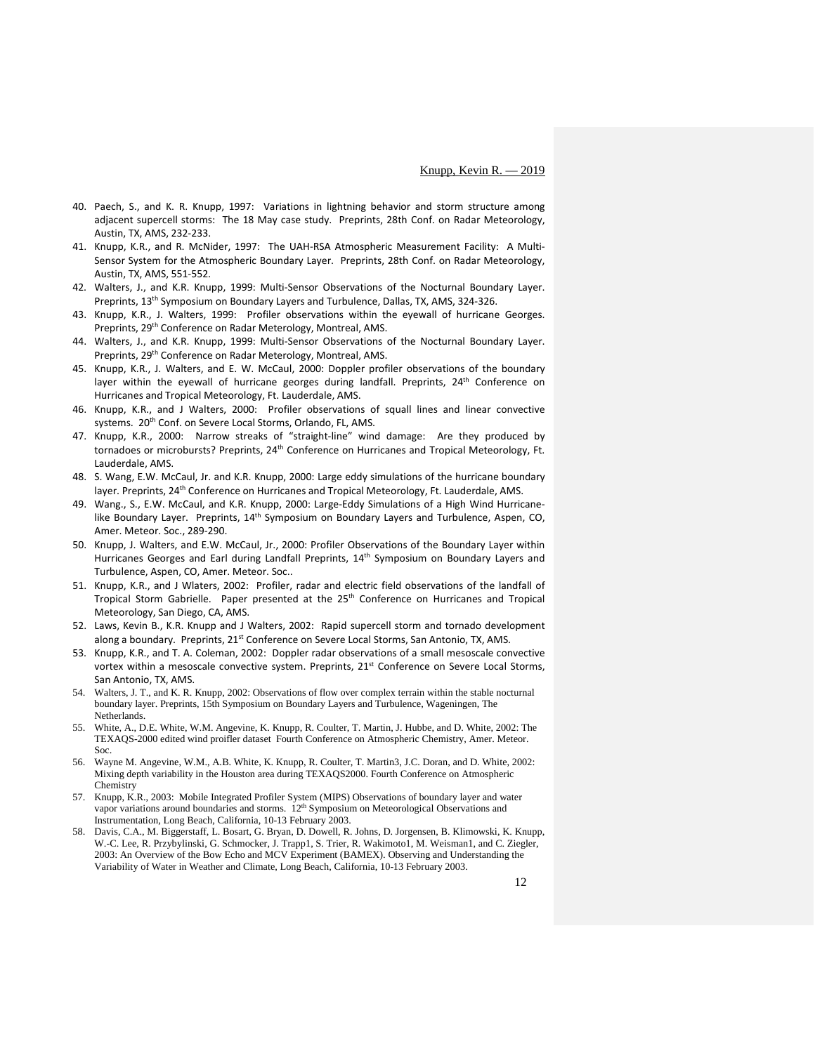- 40. Paech, S., and K. R. Knupp, 1997: Variations in lightning behavior and storm structure among adjacent supercell storms: The 18 May case study. Preprints, 28th Conf. on Radar Meteorology, Austin, TX, AMS, 232-233.
- 41. Knupp, K.R., and R. McNider, 1997: The UAH-RSA Atmospheric Measurement Facility: A Multi-Sensor System for the Atmospheric Boundary Layer. Preprints, 28th Conf. on Radar Meteorology, Austin, TX, AMS, 551-552.
- 42. Walters, J., and K.R. Knupp, 1999: Multi-Sensor Observations of the Nocturnal Boundary Layer. Preprints, 13<sup>th</sup> Symposium on Boundary Layers and Turbulence, Dallas, TX, AMS, 324-326.
- 43. Knupp, K.R., J. Walters, 1999: Profiler observations within the eyewall of hurricane Georges. Preprints, 29<sup>th</sup> Conference on Radar Meterology, Montreal, AMS.
- 44. Walters, J., and K.R. Knupp, 1999: Multi-Sensor Observations of the Nocturnal Boundary Layer. Preprints, 29<sup>th</sup> Conference on Radar Meterology, Montreal, AMS.
- 45. Knupp, K.R., J. Walters, and E. W. McCaul, 2000: Doppler profiler observations of the boundary layer within the eyewall of hurricane georges during landfall. Preprints,  $24<sup>th</sup>$  Conference on Hurricanes and Tropical Meteorology, Ft. Lauderdale, AMS.
- 46. Knupp, K.R., and J Walters, 2000: Profiler observations of squall lines and linear convective systems. 20<sup>th</sup> Conf. on Severe Local Storms, Orlando, FL, AMS.
- 47. Knupp, K.R., 2000: Narrow streaks of "straight-line" wind damage: Are they produced by tornadoes or microbursts? Preprints, 24<sup>th</sup> Conference on Hurricanes and Tropical Meteorology, Ft. Lauderdale, AMS.
- 48. S. Wang, E.W. McCaul, Jr. and K.R. Knupp, 2000: Large eddy simulations of the hurricane boundary layer. Preprints, 24<sup>th</sup> Conference on Hurricanes and Tropical Meteorology, Ft. Lauderdale, AMS.
- 49. Wang., S., E.W. McCaul, and K.R. Knupp, 2000: Large-Eddy Simulations of a High Wind Hurricanelike Boundary Layer. Preprints, 14<sup>th</sup> Symposium on Boundary Layers and Turbulence, Aspen, CO, Amer. Meteor. Soc., 289-290.
- 50. Knupp, J. Walters, and E.W. McCaul, Jr., 2000: Profiler Observations of the Boundary Layer within Hurricanes Georges and Earl during Landfall Preprints, 14<sup>th</sup> Symposium on Boundary Layers and Turbulence, Aspen, CO, Amer. Meteor. Soc..
- 51. Knupp, K.R., and J Wlaters, 2002: Profiler, radar and electric field observations of the landfall of Tropical Storm Gabrielle. Paper presented at the 25<sup>th</sup> Conference on Hurricanes and Tropical Meteorology, San Diego, CA, AMS.
- 52. Laws, Kevin B., K.R. Knupp and J Walters, 2002: Rapid supercell storm and tornado development along a boundary. Preprints, 21<sup>st</sup> Conference on Severe Local Storms, San Antonio, TX, AMS.
- 53. Knupp, K.R., and T. A. Coleman, 2002: Doppler radar observations of a small mesoscale convective vortex within a mesoscale convective system. Preprints, 21<sup>st</sup> Conference on Severe Local Storms, San Antonio, TX, AMS.
- 54. Walters, J. T., and K. R. Knupp, 2002: Observations of flow over complex terrain within the stable nocturnal boundary layer. Preprints, 15th Symposium on Boundary Layers and Turbulence, Wageningen, The **Netherlands**
- 55. White, A., D.E. White, W.M. Angevine, K. Knupp, R. Coulter, T. Martin, J. Hubbe, and D. White, 2002: The TEXAQS-2000 edited wind proifler dataset Fourth Conference on Atmospheric Chemistry, Amer. Meteor. Soc.
- 56. Wayne M. Angevine, W.M., A.B. White, K. Knupp, R. Coulter, T. Martin3, J.C. Doran, and D. White, 2002: Mixing depth variability in the Houston area during TEXAQS2000. Fourth Conference on Atmospheric **Chemistry**
- 57. Knupp, K.R., 2003: Mobile Integrated Profiler System (MIPS) Observations of boundary layer and water vapor variations around boundaries and storms. 12<sup>th</sup> Symposium on Meteorological Observations and Instrumentation, Long Beach, California, 10-13 February 2003.
- 58. Davis, C.A., M. Biggerstaff, L. Bosart, G. Bryan, D. Dowell, R. Johns, D. Jorgensen, B. Klimowski, K. Knupp, W.-C. Lee, R. Przybylinski, G. Schmocker, J. Trapp1, S. Trier, R. Wakimoto1, M. Weisman1, and C. Ziegler, 2003: An Overview of the Bow Echo and MCV Experiment (BAMEX). Observing and Understanding the Variability of Water in Weather and Climate, Long Beach, California, 10-13 February 2003.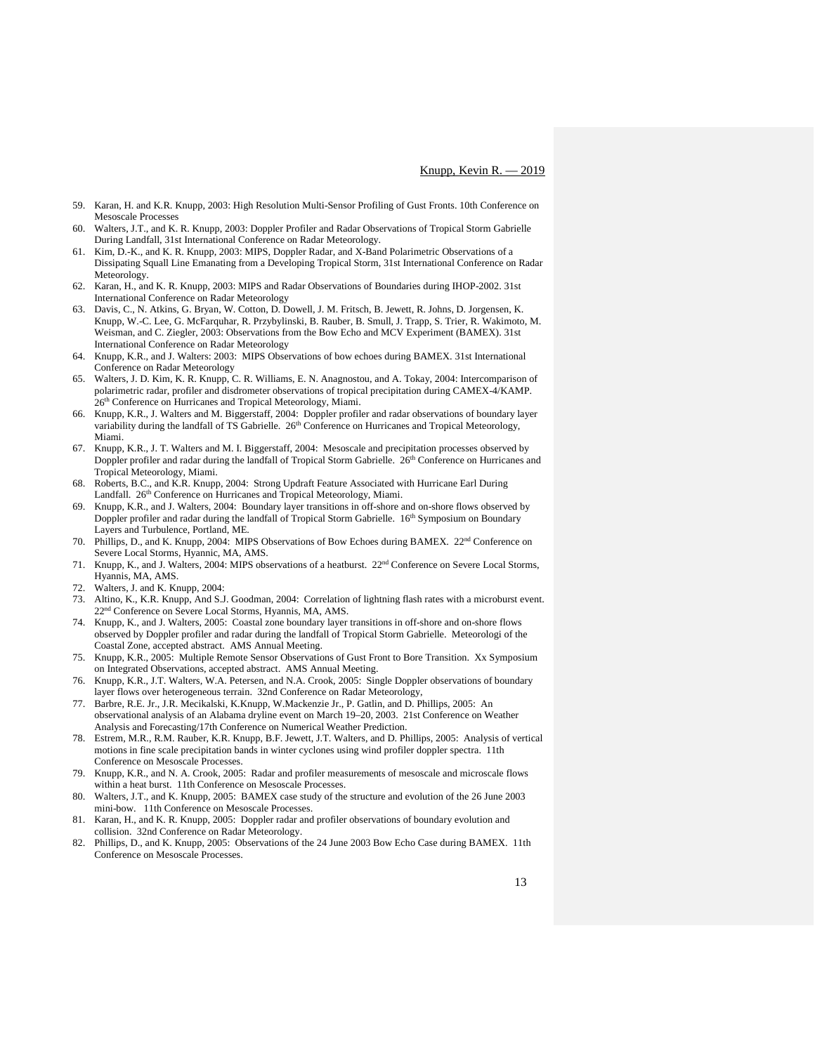- 59. Karan, H. and K.R. Knupp, 2003: High Resolution Multi-Sensor Profiling of Gust Fronts. 10th Conference on Mesoscale Processes
- Walters, J.T., and K. R. Knupp, 2003: Doppler Profiler and Radar Observations of Tropical Storm Gabrielle During Landfall, 31st International Conference on Radar Meteorology.
- 61. Kim, D.-K., and K. R. Knupp, 2003: MIPS, Doppler Radar, and X-Band Polarimetric Observations of a Dissipating Squall Line Emanating from a Developing Tropical Storm, 31st International Conference on Radar Meteorology.
- 62. Karan, H., and K. R. Knupp, 2003: MIPS and Radar Observations of Boundaries during IHOP-2002. 31st International Conference on Radar Meteorology
- 63. Davis, C., N. Atkins, G. Bryan, W. Cotton, D. Dowell, J. M. Fritsch, B. Jewett, R. Johns, D. Jorgensen, K. Knupp, W.-C. Lee, G. McFarquhar, R. Przybylinski, B. Rauber, B. Smull, J. Trapp, S. Trier, R. Wakimoto, M. Weisman, and C. Ziegler, 2003: Observations from the Bow Echo and MCV Experiment (BAMEX). 31st International Conference on Radar Meteorology
- 64. Knupp, K.R., and J. Walters: 2003: MIPS Observations of bow echoes during BAMEX. 31st International Conference on Radar Meteorology
- 65. Walters, J. D. Kim, K. R. Knupp, C. R. Williams, E. N. Anagnostou, and A. Tokay, 2004: Intercomparison of polarimetric radar, profiler and disdrometer observations of tropical precipitation during CAMEX-4/KAMP. 26<sup>th</sup> Conference on Hurricanes and Tropical Meteorology, Miami.
- 66. Knupp, K.R., J. Walters and M. Biggerstaff, 2004: Doppler profiler and radar observations of boundary layer variability during the landfall of TS Gabrielle. 26<sup>th</sup> Conference on Hurricanes and Tropical Meteorology, Miami.
- 67. Knupp, K.R., J. T. Walters and M. I. Biggerstaff, 2004: Mesoscale and precipitation processes observed by Doppler profiler and radar during the landfall of Tropical Storm Gabrielle. 26<sup>th</sup> Conference on Hurricanes and Tropical Meteorology, Miami.
- 68. Roberts, B.C., and K.R. Knupp, 2004: Strong Updraft Feature Associated with Hurricane Earl During Landfall. 26<sup>th</sup> Conference on Hurricanes and Tropical Meteorology, Miami.
- 69. Knupp, K.R., and J. Walters, 2004: Boundary layer transitions in off-shore and on-shore flows observed by Doppler profiler and radar during the landfall of Tropical Storm Gabrielle. 16<sup>th</sup> Symposium on Boundary Layers and Turbulence, Portland, ME.
- 70. Phillips, D., and K. Knupp, 2004: MIPS Observations of Bow Echoes during BAMEX. 22nd Conference on Severe Local Storms, Hyannic, MA, AMS.
- 71. Knupp, K., and J. Walters, 2004: MIPS observations of a heatburst. 22nd Conference on Severe Local Storms, Hyannis, MA, AMS.
- 72. Walters, J. and K. Knupp, 2004:
- 73. Altino, K., K.R. Knupp, And S.J. Goodman, 2004: Correlation of lightning flash rates with a microburst event. 22<sup>nd</sup> Conference on Severe Local Storms, Hyannis, MA, AMS.
- 74. Knupp, K., and J. Walters, 2005: Coastal zone boundary layer transitions in off-shore and on-shore flows observed by Doppler profiler and radar during the landfall of Tropical Storm Gabrielle. Meteorologi of the Coastal Zone, accepted abstract. AMS Annual Meeting.
- 75. Knupp, K.R., 2005: Multiple Remote Sensor Observations of Gust Front to Bore Transition. Xx Symposium on Integrated Observations, accepted abstract. AMS Annual Meeting.
- 76. Knupp, K.R., J.T. Walters, W.A. Petersen, and N.A. Crook, 2005: Single Doppler observations of boundary layer flows over heterogeneous terrain. 32nd Conference on Radar Meteorology,
- 77. Barbre, R.E. Jr., J.R. Mecikalski, K.Knupp, W.Mackenzie Jr., P. Gatlin, and D. Phillips, 2005: An observational analysis of an Alabama dryline event on March 19–20, 2003. 21st Conference on Weather Analysis and Forecasting/17th Conference on Numerical Weather Prediction.
- 78. Estrem, M.R., R.M. Rauber, K.R. Knupp, B.F. Jewett, J.T. Walters, and D. Phillips, 2005: Analysis of vertical motions in fine scale precipitation bands in winter cyclones using wind profiler doppler spectra. 11th Conference on Mesoscale Processes.
- 79. Knupp, K.R., and N. A. Crook, 2005: Radar and profiler measurements of mesoscale and microscale flows within a heat burst. 11th Conference on Mesoscale Processes.
- 80. Walters, J.T., and K. Knupp, 2005: BAMEX case study of the structure and evolution of the 26 June 2003 mini-bow. 11th Conference on Mesoscale Processes.
- 81. Karan, H., and K. R. Knupp, 2005: Doppler radar and profiler observations of boundary evolution and collision. 32nd Conference on Radar Meteorology.
- 82. Phillips, D., and K. Knupp, 2005: Observations of the 24 June 2003 Bow Echo Case during BAMEX. 11th Conference on Mesoscale Processes.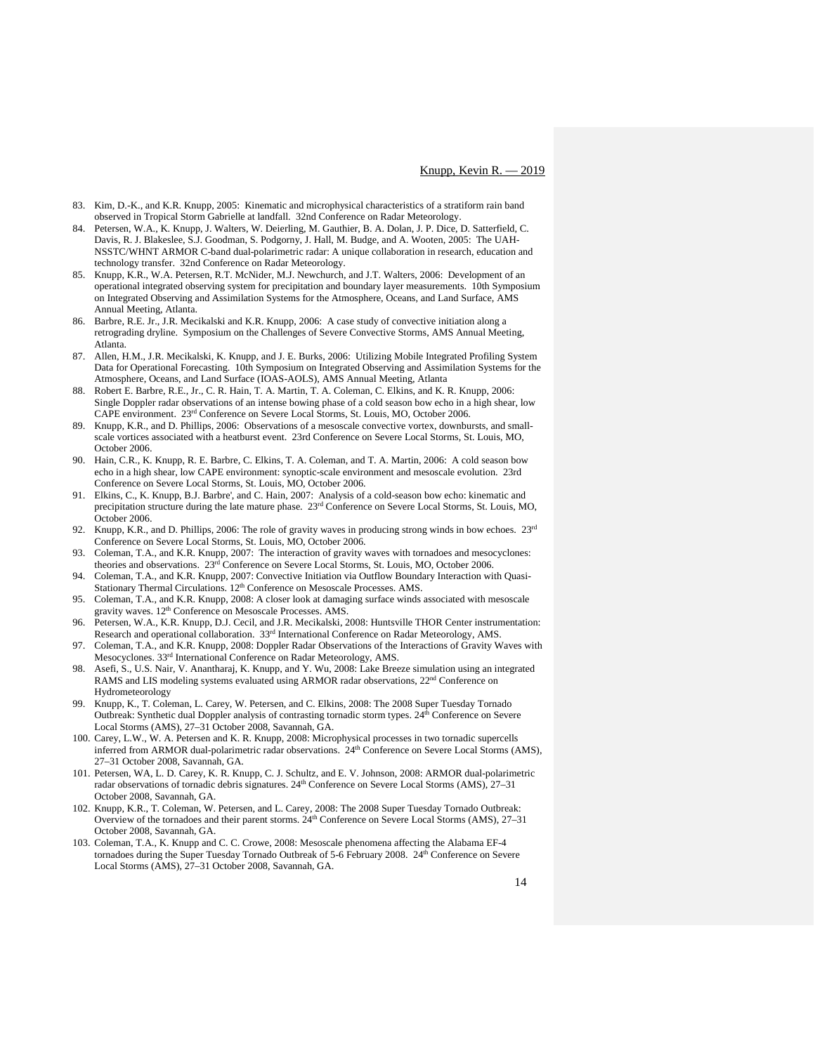- 83. Kim, D.-K., and K.R. Knupp, 2005: Kinematic and microphysical characteristics of a stratiform rain band observed in Tropical Storm Gabrielle at landfall. 32nd Conference on Radar Meteorology.
- 84. Petersen, W.A., K. Knupp, J. Walters, W. Deierling, M. Gauthier, B. A. Dolan, J. P. Dice, D. Satterfield, C. Davis, R. J. Blakeslee, S.J. Goodman, S. Podgorny, J. Hall, M. Budge, and A. Wooten, 2005: The UAH-NSSTC/WHNT ARMOR C-band dual-polarimetric radar: A unique collaboration in research, education and technology transfer. 32nd Conference on Radar Meteorology.
- 85. Knupp, K.R., W.A. Petersen, R.T. McNider, M.J. Newchurch, and J.T. Walters, 2006: Development of an operational integrated observing system for precipitation and boundary layer measurements. 10th Symposium on Integrated Observing and Assimilation Systems for the Atmosphere, Oceans, and Land Surface, AMS Annual Meeting, Atlanta.
- 86. Barbre, R.E. Jr., J.R. Mecikalski and K.R. Knupp, 2006: A case study of convective initiation along a retrograding dryline. Symposium on the Challenges of Severe Convective Storms, AMS Annual Meeting, Atlanta.
- 87. Allen, H.M., J.R. Mecikalski, K. Knupp, and J. E. Burks, 2006: Utilizing Mobile Integrated Profiling System Data for Operational Forecasting. 10th Symposium on Integrated Observing and Assimilation Systems for the Atmosphere, Oceans, and Land Surface (IOAS-AOLS), AMS Annual Meeting, Atlanta
- 88. Robert E. Barbre, R.E., Jr., C. R. Hain, T. A. Martin, T. A. Coleman, C. Elkins, and K. R. Knupp, 2006: Single Doppler radar observations of an intense bowing phase of a cold season bow echo in a high shear, low CAPE environment. 23rd Conference on Severe Local Storms, St. Louis, MO, October 2006.
- 89. Knupp, K.R., and D. Phillips, 2006: Observations of a mesoscale convective vortex, downbursts, and smallscale vortices associated with a heatburst event. 23rd Conference on Severe Local Storms, St. Louis, MO, October 2006.
- 90. Hain, C.R., K. Knupp, R. E. Barbre, C. Elkins, T. A. Coleman, and T. A. Martin, 2006: A cold season bow echo in a high shear, low CAPE environment: synoptic-scale environment and mesoscale evolution. 23rd Conference on Severe Local Storms, St. Louis, MO, October 2006.
- 91. Elkins, C., K. Knupp, B.J. Barbre', and C. Hain, 2007: Analysis of a cold-season bow echo: kinematic and precipitation structure during the late mature phase.  $23<sup>rd</sup>$  Conference on Severe Local Storms, St. Louis, MO, October 2006.
- 92. Knupp, K.R., and D. Phillips, 2006: The role of gravity waves in producing strong winds in bow echoes.  $23<sup>rd</sup>$ Conference on Severe Local Storms, St. Louis, MO, October 2006.
- 93. Coleman, T.A., and K.R. Knupp, 2007: The interaction of gravity waves with tornadoes and mesocyclones: theories and observations. 23rd Conference on Severe Local Storms, St. Louis, MO, October 2006.
- 94. Coleman, T.A., and K.R. Knupp, 2007: Convective Initiation via Outflow Boundary Interaction with Quasi-Stationary Thermal Circulations. 12<sup>th</sup> Conference on Mesoscale Processes. AMS.
- 95. Coleman, T.A., and K.R. Knupp, 2008: A closer look at damaging surface winds associated with mesoscale gravity waves. 12<sup>th</sup> Conference on Mesoscale Processes. AMS.
- 96. Petersen, W.A., K.R. Knupp, D.J. Cecil, and J.R. Mecikalski, 2008: Huntsville THOR Center instrumentation: Research and operational collaboration. 33rd International Conference on Radar Meteorology, AMS.
- 97. Coleman, T.A., and K.R. Knupp, 2008: Doppler Radar Observations of the Interactions of Gravity Waves with Mesocyclones. 33rd International Conference on Radar Meteorology, AMS.
- 98. Asefi, S., U.S. Nair, V. Anantharaj, K. Knupp, and Y. Wu, 2008: Lake Breeze simulation using an integrated RAMS and LIS modeling systems evaluated using ARMOR radar observations,  $22<sup>nd</sup>$  Conference on Hydrometeorology
- 99. Knupp, K., T. Coleman, L. Carey, W. Petersen, and C. Elkins, 2008: The 2008 Super Tuesday Tornado Outbreak: Synthetic dual Doppler analysis of contrasting tornadic storm types. 24<sup>th</sup> Conference on Severe Local Storms (AMS), 27–31 October 2008, Savannah, GA.
- 100. Carey, L.W., W. A. Petersen and K. R. Knupp, 2008: Microphysical processes in two tornadic supercells inferred from ARMOR dual-polarimetric radar observations. 24<sup>th</sup> Conference on Severe Local Storms (AMS), 27–31 October 2008, Savannah, GA.
- 101. Petersen, WA, L. D. Carey, K. R. Knupp, C. J. Schultz, and E. V. Johnson, 2008: ARMOR dual-polarimetric radar observations of tornadic debris signatures.  $24<sup>th</sup>$  Conference on Severe Local Storms (AMS), 27–31 October 2008, Savannah, GA.
- 102. Knupp, K.R., T. Coleman, W. Petersen, and L. Carey, 2008: The 2008 Super Tuesday Tornado Outbreak: Overview of the tornadoes and their parent storms. 24th Conference on Severe Local Storms (AMS), 27–31 October 2008, Savannah, GA.
- 103. Coleman, T.A., K. Knupp and C. C. Crowe, 2008: Mesoscale phenomena affecting the Alabama EF-4 tornadoes during the Super Tuesday Tornado Outbreak of 5-6 February 2008. 24<sup>th</sup> Conference on Severe Local Storms (AMS), 27–31 October 2008, Savannah, GA.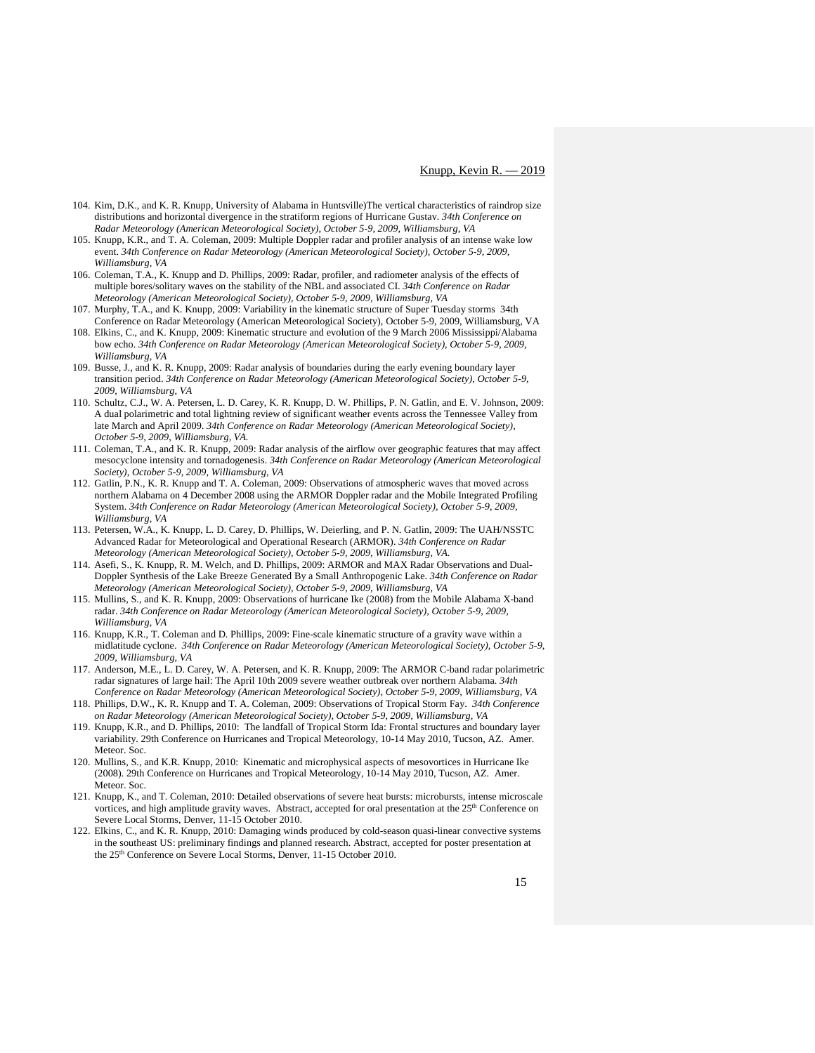- 104. Kim, D.K., and K. R. Knupp, University of Alabama in Huntsville)The vertical characteristics of raindrop size distributions and horizontal divergence in the stratiform regions of Hurricane Gustav. *34th Conference on Radar Meteorology (American Meteorological Society), October 5-9, 2009, Williamsburg, VA*
- 105. Knupp, K.R., and T. A. Coleman, 2009: Multiple Doppler radar and profiler analysis of an intense wake low event. *34th Conference on Radar Meteorology (American Meteorological Society), October 5-9, 2009, Williamsburg, VA*
- 106. Coleman, T.A., K. Knupp and D. Phillips, 2009: Radar, profiler, and radiometer analysis of the effects of multiple bores/solitary waves on the stability of the NBL and associated CI. *34th Conference on Radar Meteorology (American Meteorological Society), October 5-9, 2009, Williamsburg, VA*
- 107. Murphy, T.A., and K. Knupp, 2009: Variability in the kinematic structure of Super Tuesday storms 34th Conference on Radar Meteorology (American Meteorological Society), October 5-9, 2009, Williamsburg, VA
- 108. Elkins, C., and K. Knupp, 2009: Kinematic structure and evolution of the 9 March 2006 Mississippi/Alabama bow echo. *34th Conference on Radar Meteorology (American Meteorological Society), October 5-9, 2009, Williamsburg, VA*
- 109. Busse, J., and K. R. Knupp, 2009: Radar analysis of boundaries during the early evening boundary layer transition period. *34th Conference on Radar Meteorology (American Meteorological Society), October 5-9, 2009, Williamsburg, VA*
- 110. Schultz, C.J., W. A. Petersen, L. D. Carey, K. R. Knupp, D. W. Phillips, P. N. Gatlin, and E. V. Johnson, 2009: A dual polarimetric and total lightning review of significant weather events across the Tennessee Valley from late March and April 2009. *34th Conference on Radar Meteorology (American Meteorological Society), October 5-9, 2009, Williamsburg, VA.*
- 111. Coleman, T.A., and K. R. Knupp, 2009: Radar analysis of the airflow over geographic features that may affect mesocyclone intensity and tornadogenesis. *34th Conference on Radar Meteorology (American Meteorological Society), October 5-9, 2009, Williamsburg, VA*
- 112. Gatlin, P.N., K. R. Knupp and T. A. Coleman, 2009: Observations of atmospheric waves that moved across northern Alabama on 4 December 2008 using the ARMOR Doppler radar and the Mobile Integrated Profiling System. *34th Conference on Radar Meteorology (American Meteorological Society), October 5-9, 2009, Williamsburg, VA*
- 113. Petersen, W.A., K. Knupp, L. D. Carey, D. Phillips, W. Deierling, and P. N. Gatlin, 2009: The UAH/NSSTC Advanced Radar for Meteorological and Operational Research (ARMOR). *34th Conference on Radar Meteorology (American Meteorological Society), October 5-9, 2009, Williamsburg, VA.*
- 114. Asefi, S., K. Knupp, R. M. Welch, and D. Phillips, 2009: ARMOR and MAX Radar Observations and Dual-Doppler Synthesis of the Lake Breeze Generated By a Small Anthropogenic Lake. *34th Conference on Radar Meteorology (American Meteorological Society), October 5-9, 2009, Williamsburg, VA*
- 115. Mullins, S., and K. R. Knupp, 2009: Observations of hurricane Ike (2008) from the Mobile Alabama X-band radar. *34th Conference on Radar Meteorology (American Meteorological Society), October 5-9, 2009, Williamsburg, VA*
- 116. Knupp, K.R., T. Coleman and D. Phillips, 2009: Fine-scale kinematic structure of a gravity wave within a midlatitude cyclone. *34th Conference on Radar Meteorology (American Meteorological Society), October 5-9, 2009, Williamsburg, VA*
- 117. Anderson, M.E., L. D. Carey, W. A. Petersen, and K. R. Knupp, 2009: The ARMOR C-band radar polarimetric radar signatures of large hail: The April 10th 2009 severe weather outbreak over northern Alabama. *34th Conference on Radar Meteorology (American Meteorological Society), October 5-9, 2009, Williamsburg, VA*
- 118. Phillips, D.W., K. R. Knupp and T. A. Coleman, 2009: Observations of Tropical Storm Fay. *34th Conference on Radar Meteorology (American Meteorological Society), October 5-9, 2009, Williamsburg, VA*
- 119. Knupp, K.R., and D. Phillips, 2010: The landfall of Tropical Storm Ida: Frontal structures and boundary layer variability. 29th Conference on Hurricanes and Tropical Meteorology, 10-14 May 2010, Tucson, AZ. Amer. Meteor. Soc.
- 120. Mullins, S., and K.R. Knupp, 2010: Kinematic and microphysical aspects of mesovortices in Hurricane Ike (2008). 29th Conference on Hurricanes and Tropical Meteorology, 10-14 May 2010, Tucson, AZ. Amer. Meteor. Soc.
- 121. Knupp, K., and T. Coleman, 2010: Detailed observations of severe heat bursts: microbursts, intense microscale vortices, and high amplitude gravity waves. Abstract, accepted for oral presentation at the  $25<sup>th</sup>$  Conference on Severe Local Storms, Denver, 11-15 October 2010.
- 122. Elkins, C., and K. R. Knupp, 2010: Damaging winds produced by cold-season quasi-linear convective systems in the southeast US: preliminary findings and planned research. Abstract, accepted for poster presentation at the 25<sup>th</sup> Conference on Severe Local Storms, Denver, 11-15 October 2010.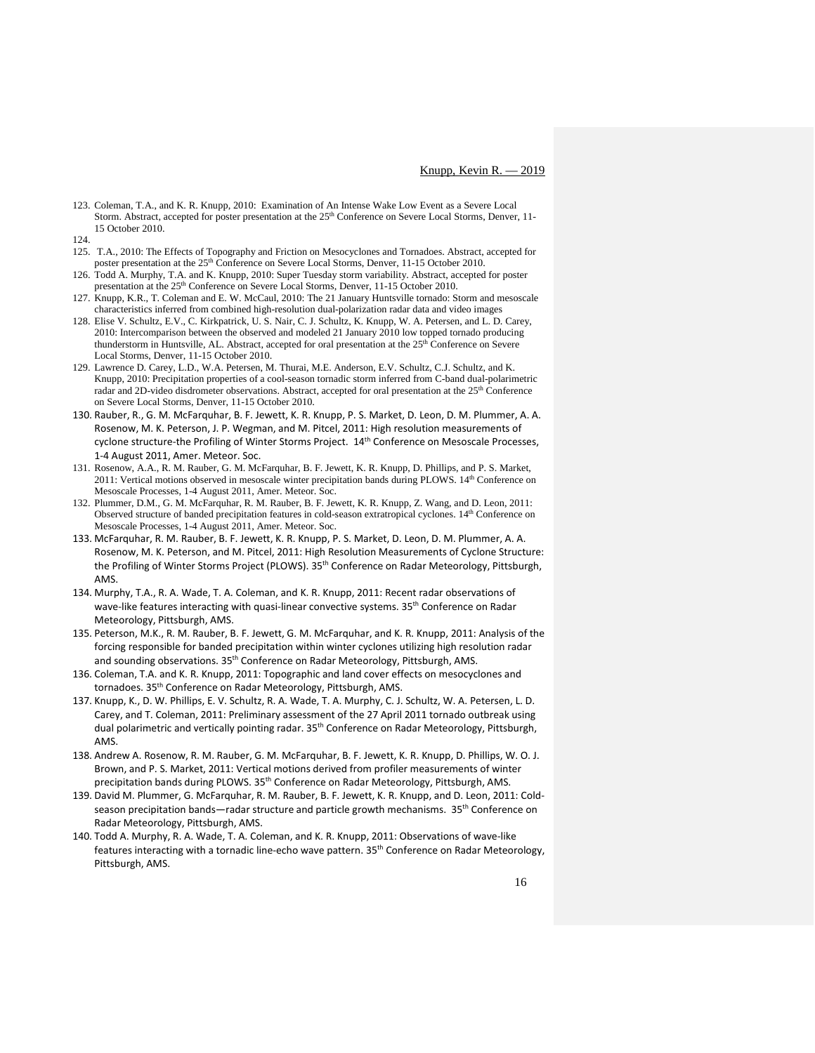- 123. Coleman, T.A., and K. R. Knupp, 2010: Examination of An Intense Wake Low Event as a Severe Local Storm. Abstract, accepted for poster presentation at the 25<sup>th</sup> Conference on Severe Local Storms, Denver, 11-15 October 2010.
- 124.
- 125. T.A., 2010: The Effects of Topography and Friction on Mesocyclones and Tornadoes. Abstract, accepted for poster presentation at the 25<sup>th</sup> Conference on Severe Local Storms, Denver, 11-15 October 2010.
- 126. Todd A. Murphy, T.A. and K. Knupp, 2010: Super Tuesday storm variability. Abstract, accepted for poster presentation at the 25<sup>th</sup> Conference on Severe Local Storms, Denver, 11-15 October 2010.
- 127. Knupp, K.R., T. Coleman and E. W. McCaul, 2010: The 21 January Huntsville tornado: Storm and mesoscale characteristics inferred from combined high-resolution dual-polarization radar data and video images
- 128. Elise V. Schultz, E.V., C. Kirkpatrick, U. S. Nair, C. J. Schultz, K. Knupp, W. A. Petersen, and L. D. Carey, 2010: Intercomparison between the observed and modeled 21 January 2010 low topped tornado producing thunderstorm in Huntsville, AL. Abstract, accepted for oral presentation at the 25<sup>th</sup> Conference on Severe Local Storms, Denver, 11-15 October 2010.
- 129. Lawrence D. Carey, L.D., W.A. Petersen, M. Thurai, M.E. Anderson, E.V. Schultz, C.J. Schultz, and K. Knupp, 2010: Precipitation properties of a cool-season tornadic storm inferred from C-band dual-polarimetric radar and 2D-video disdrometer observations. Abstract, accepted for oral presentation at the 25<sup>th</sup> Conference on Severe Local Storms, Denver, 11-15 October 2010.
- 130. Rauber, R., G. M. McFarquhar, B. F. Jewett, K. R. Knupp, P. S. Market, D. Leon, D. M. Plummer, A. A. Rosenow, M. K. Peterson, J. P. Wegman, and M. Pitcel, 2011: High resolution measurements of cyclone structure-the Profiling of Winter Storms Project. 14th Conference on Mesoscale Processes, 1-4 August 2011, Amer. Meteor. Soc.
- 131. Rosenow, A.A., R. M. Rauber, G. M. McFarquhar, B. F. Jewett, K. R. Knupp, D. Phillips, and P. S. Market, 2011: Vertical motions observed in mesoscale winter precipitation bands during PLOWS. 14<sup>th</sup> Conference on Mesoscale Processes, 1-4 August 2011, Amer. Meteor. Soc.
- 132. Plummer, D.M., G. M. McFarquhar, R. M. Rauber, B. F. Jewett, K. R. Knupp, Z. Wang, and D. Leon, 2011: Observed structure of banded precipitation features in cold-season extratropical cyclones. 14th Conference on Mesoscale Processes, 1-4 August 2011, Amer. Meteor. Soc.
- 133. McFarquhar, R. M. Rauber, B. F. Jewett, K. R. Knupp, P. S. Market, D. Leon, D. M. Plummer, A. A. Rosenow, M. K. Peterson, and M. Pitcel, 2011: High Resolution Measurements of Cyclone Structure: the Profiling of Winter Storms Project (PLOWS). 35<sup>th</sup> Conference on Radar Meteorology, Pittsburgh, AMS.
- 134. Murphy, T.A., R. A. Wade, T. A. Coleman, and K. R. Knupp, 2011: Recent radar observations of wave-like features interacting with quasi-linear convective systems. 35<sup>th</sup> Conference on Radar Meteorology, Pittsburgh, AMS.
- 135. Peterson, M.K., R. M. Rauber, B. F. Jewett, G. M. McFarquhar, and K. R. Knupp, 2011: Analysis of the forcing responsible for banded precipitation within winter cyclones utilizing high resolution radar and sounding observations. 35<sup>th</sup> Conference on Radar Meteorology, Pittsburgh, AMS.
- 136. Coleman, T.A. and K. R. Knupp, 2011: Topographic and land cover effects on mesocyclones and tornadoes. 35<sup>th</sup> Conference on Radar Meteorology, Pittsburgh, AMS.
- 137. Knupp, K., D. W. Phillips, E. V. Schultz, R. A. Wade, T. A. Murphy, C. J. Schultz, W. A. Petersen, L. D. Carey, and T. Coleman, 2011: Preliminary assessment of the 27 April 2011 tornado outbreak using dual polarimetric and vertically pointing radar. 35<sup>th</sup> Conference on Radar Meteorology, Pittsburgh, AMS.
- 138. Andrew A. Rosenow, R. M. Rauber, G. M. McFarquhar, B. F. Jewett, K. R. Knupp, D. Phillips, W. O. J. Brown, and P. S. Market, 2011: Vertical motions derived from profiler measurements of winter precipitation bands during PLOWS. 35<sup>th</sup> Conference on Radar Meteorology, Pittsburgh, AMS.
- 139. David M. Plummer, G. McFarquhar, R. M. Rauber, B. F. Jewett, K. R. Knupp, and D. Leon, 2011: Coldseason precipitation bands—radar structure and particle growth mechanisms. 35<sup>th</sup> Conference on Radar Meteorology, Pittsburgh, AMS.
- 140. Todd A. Murphy, R. A. Wade, T. A. Coleman, and K. R. Knupp, 2011: Observations of wave-like features interacting with a tornadic line-echo wave pattern. 35<sup>th</sup> Conference on Radar Meteorology, Pittsburgh, AMS.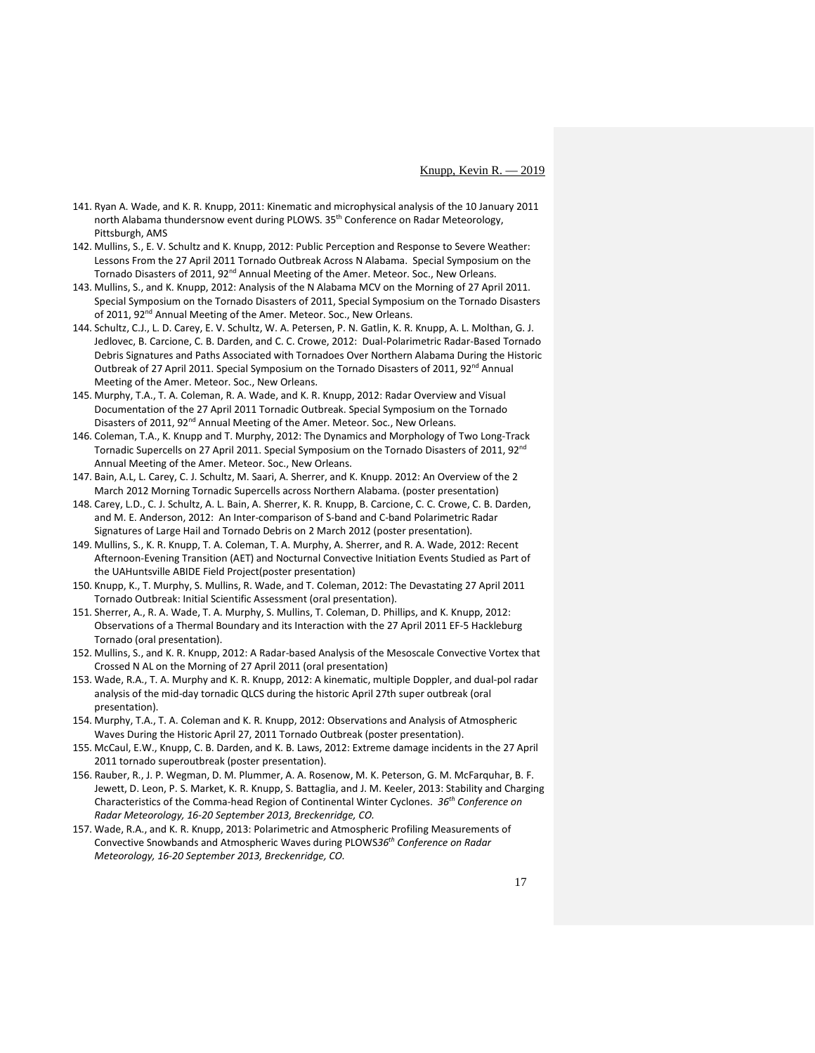- 141. Ryan A. Wade, and K. R. Knupp, 2011: Kinematic and microphysical analysis of the 10 January 2011 north Alabama thundersnow event during PLOWS. 35<sup>th</sup> Conference on Radar Meteorology, Pittsburgh, AMS
- 142. Mullins, S., E. V. Schultz and K. Knupp, 2012: Public Perception and Response to Severe Weather: Lessons From the 27 April 2011 Tornado Outbreak Across N Alabama. Special Symposium on the Tornado Disasters of 2011, 92<sup>nd</sup> Annual Meeting of the Amer. Meteor. Soc., New Orleans.
- 143. Mullins, S., and K. Knupp, 2012: Analysis of the N Alabama MCV on the Morning of 27 April 2011. Special Symposium on the Tornado Disasters of 2011, Special Symposium on the Tornado Disasters of 2011, 92<sup>nd</sup> Annual Meeting of the Amer. Meteor. Soc., New Orleans.
- 144. Schultz, C.J., L. D. Carey, E. V. Schultz, W. A. Petersen, P. N. Gatlin, K. R. Knupp, A. L. Molthan, G. J. Jedlovec, B. Carcione, C. B. Darden, and C. C. Crowe, 2012: Dual-Polarimetric Radar-Based Tornado Debris Signatures and Paths Associated with Tornadoes Over Northern Alabama During the Historic Outbreak of 27 April 2011. Special Symposium on the Tornado Disasters of 2011, 92<sup>nd</sup> Annual Meeting of the Amer. Meteor. Soc., New Orleans.
- 145. Murphy, T.A., T. A. Coleman, R. A. Wade, and K. R. Knupp, 2012: Radar Overview and Visual Documentation of the 27 April 2011 Tornadic Outbreak. Special Symposium on the Tornado Disasters of 2011, 92<sup>nd</sup> Annual Meeting of the Amer. Meteor. Soc., New Orleans.
- 146. Coleman, T.A., K. Knupp and T. Murphy, 2012: The Dynamics and Morphology of Two Long-Track Tornadic Supercells on 27 April 2011. Special Symposium on the Tornado Disasters of 2011, 92<sup>nd</sup> Annual Meeting of the Amer. Meteor. Soc., New Orleans.
- 147. Bain, A.L, L. Carey, C. J. Schultz, M. Saari, A. Sherrer, and K. Knupp. 2012: An Overview of the 2 March 2012 Morning Tornadic Supercells across Northern Alabama. (poster presentation)
- 148. Carey, L.D., C. J. Schultz, A. L. Bain, A. Sherrer, K. R. Knupp, B. Carcione, C. C. Crowe, C. B. Darden, and M. E. Anderson, 2012: An Inter-comparison of S-band and C-band Polarimetric Radar Signatures of Large Hail and Tornado Debris on 2 March 2012 (poster presentation).
- 149. Mullins, S., K. R. Knupp, T. A. Coleman, T. A. Murphy, A. Sherrer, and R. A. Wade, 2012: Recent Afternoon-Evening Transition (AET) and Nocturnal Convective Initiation Events Studied as Part of the UAHuntsville ABIDE Field Project(poster presentation)
- 150. Knupp, K., T. Murphy, S. Mullins, R. Wade, and T. Coleman, 2012: The Devastating 27 April 2011 Tornado Outbreak: Initial Scientific Assessment (oral presentation).
- 151. Sherrer, A., R. A. Wade, T. A. Murphy, S. Mullins, T. Coleman, D. Phillips, and K. Knupp, 2012: Observations of a Thermal Boundary and its Interaction with the 27 April 2011 EF-5 Hackleburg Tornado (oral presentation).
- 152. Mullins, S., and K. R. Knupp, 2012: A Radar-based Analysis of the Mesoscale Convective Vortex that Crossed N AL on the Morning of 27 April 2011 (oral presentation)
- 153. Wade, R.A., T. A. Murphy and K. R. Knupp, 2012: A kinematic, multiple Doppler, and dual-pol radar analysis of the mid-day tornadic QLCS during the historic April 27th super outbreak (oral presentation).
- 154. Murphy, T.A., T. A. Coleman and K. R. Knupp, 2012: Observations and Analysis of Atmospheric Waves During the Historic April 27, 2011 Tornado Outbreak (poster presentation).
- 155. McCaul, E.W., Knupp, C. B. Darden, and K. B. Laws, 2012: Extreme damage incidents in the 27 April 2011 tornado superoutbreak (poster presentation).
- 156. Rauber, R., J. P. Wegman, D. M. Plummer, A. A. Rosenow, M. K. Peterson, G. M. McFarquhar, B. F. Jewett, D. Leon, P. S. Market, K. R. Knupp, S. Battaglia, and J. M. Keeler, 2013: Stability and Charging Characteristics of the Comma-head Region of Continental Winter Cyclones. *36th Conference on Radar Meteorology, 16-20 September 2013, Breckenridge, CO.*
- 157. Wade, R.A., and K. R. Knupp, 2013: Polarimetric and Atmospheric Profiling Measurements of Convective Snowbands and Atmospheric Waves during PLOWS*36th Conference on Radar Meteorology, 16-20 September 2013, Breckenridge, CO.*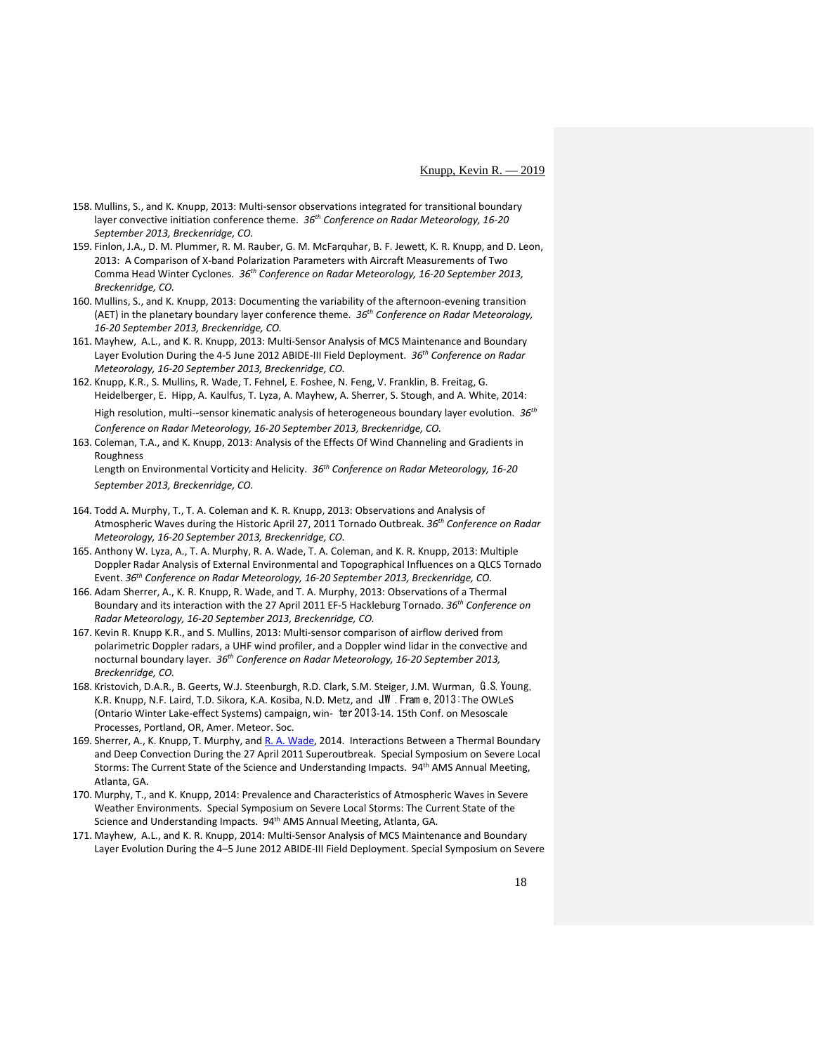- 158. Mullins, S., and K. Knupp, 2013: Multi-sensor observations integrated for transitional boundary layer convective initiation conference theme. *36th Conference on Radar Meteorology, 16-20 September 2013, Breckenridge, CO.*
- 159. Finlon, J.A., D. M. Plummer, R. M. Rauber, G. M. McFarquhar, B. F. Jewett, K. R. Knupp, and D. Leon, 2013: A Comparison of X-band Polarization Parameters with Aircraft Measurements of Two Comma Head Winter Cyclones. *36th Conference on Radar Meteorology, 16-20 September 2013, Breckenridge, CO.*
- 160. Mullins, S., and K. Knupp, 2013: Documenting the variability of the afternoon-evening transition (AET) in the planetary boundary layer conference theme. *36th Conference on Radar Meteorology, 16-20 September 2013, Breckenridge, CO.*
- 161. Mayhew, A.L., and K. R. Knupp, 2013: Multi-Sensor Analysis of MCS Maintenance and Boundary Layer Evolution During the 4-5 June 2012 ABIDE-III Field Deployment. *36th Conference on Radar Meteorology, 16-20 September 2013, Breckenridge, CO.*
- 162. Knupp, K.R., S. Mullins, R. Wade, T. Fehnel, E. Foshee, N. Feng, V. Franklin, B. Freitag, G. Heidelberger, E. Hipp, A. Kaulfus, T. Lyza, A. Mayhew, A. Sherrer, S. Stough, and A. White, 2014: High resolution, multi-‐sensor kinematic analysis of heterogeneous boundary layer evolution. *36th Conference on Radar Meteorology, 16-20 September 2013, Breckenridge, CO.*
- 163. Coleman, T.A., and K. Knupp, 2013: Analysis of the Effects Of Wind Channeling and Gradients in Roughness Length on Environmental Vorticity and Helicity. *36th Conference on Radar Meteorology, 16-20*

*September 2013, Breckenridge, CO.*

- 164. Todd A. Murphy, T., T. A. Coleman and K. R. Knupp, 2013: Observations and Analysis of Atmospheric Waves during the Historic April 27, 2011 Tornado Outbreak. *36th Conference on Radar Meteorology, 16-20 September 2013, Breckenridge, CO.*
- 165. Anthony W. Lyza, A., T. A. Murphy, R. A. Wade, T. A. Coleman, and K. R. Knupp, 2013: Multiple Doppler Radar Analysis of External Environmental and Topographical Influences on a QLCS Tornado Event. *36th Conference on Radar Meteorology, 16-20 September 2013, Breckenridge, CO.*
- 166. Adam Sherrer, A., K. R. Knupp, R. Wade, and T. A. Murphy, 2013: Observations of a Thermal Boundary and its interaction with the 27 April 2011 EF-5 Hackleburg Tornado. *36th Conference on Radar Meteorology, 16-20 September 2013, Breckenridge, CO.*
- 167. Kevin R. Knupp K.R., and S. Mullins, 2013: Multi-sensor comparison of airflow derived from polarimetric Doppler radars, a UHF wind profiler, and a Doppler wind lidar in the convective and nocturnal boundary layer. *36th Conference on Radar Meteorology, 16-20 September 2013, Breckenridge, CO.*
- 168. Kristovich, D.A.R., B. Geerts, W.J. Steenburgh, R.D. Clark, S.M. Steiger, J.M. Wurman, G .S. Young, K.R. Knupp, N.F. Laird, T.D. Sikora, K.A. Kosiba, N.D. Metz, and JW. Fram e, 2013: The OWLeS (Ontario Winter Lake-effect Systems) campaign, win- ter 2013-14. 15th Conf. on Mesoscale Processes, Portland, OR, Amer. Meteor. Soc.
- 169. Sherrer, A., K. Knupp, T. Murphy, an[d R. A. Wade,](mailto:rwade@nsstc.uah.edu) 2014. Interactions Between a Thermal Boundary and Deep Convection During the 27 April 2011 Superoutbreak. Special Symposium on Severe Local Storms: The Current State of the Science and Understanding Impacts. 94th AMS Annual Meeting, Atlanta, GA.
- 170. Murphy, T., and K. Knupp, 2014: Prevalence and Characteristics of Atmospheric Waves in Severe Weather Environments. Special Symposium on Severe Local Storms: The Current State of the Science and Understanding Impacts. 94<sup>th</sup> AMS Annual Meeting, Atlanta, GA.
- 171. Mayhew, A.L., and K. R. Knupp, 2014: Multi-Sensor Analysis of MCS Maintenance and Boundary Layer Evolution During the 4–5 June 2012 ABIDE-III Field Deployment. Special Symposium on Severe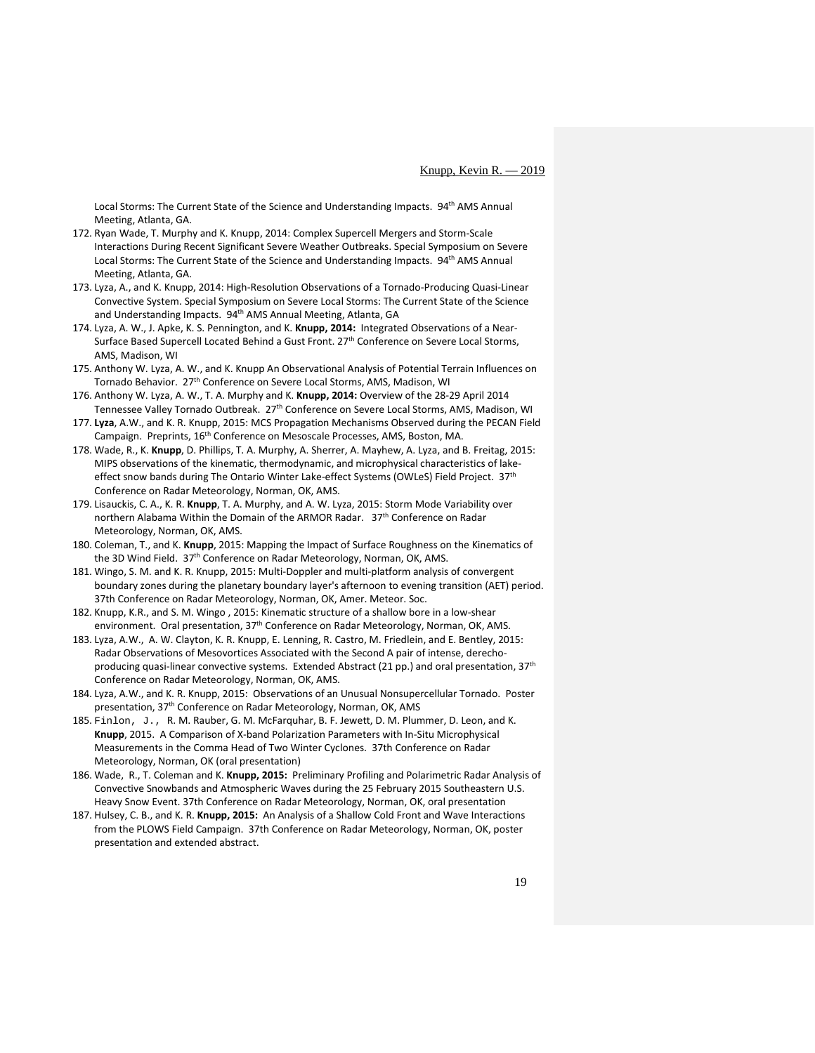Local Storms: The Current State of the Science and Understanding Impacts. 94<sup>th</sup> AMS Annual Meeting, Atlanta, GA.

- 172. Ryan Wade, T. Murphy and K. Knupp, 2014: Complex Supercell Mergers and Storm-Scale Interactions During Recent Significant Severe Weather Outbreaks. Special Symposium on Severe Local Storms: The Current State of the Science and Understanding Impacts. 94<sup>th</sup> AMS Annual Meeting, Atlanta, GA.
- 173. Lyza, A., and K. Knupp, 2014: High-Resolution Observations of a Tornado-Producing Quasi-Linear Convective System. Special Symposium on Severe Local Storms: The Current State of the Science and Understanding Impacts. 94<sup>th</sup> AMS Annual Meeting, Atlanta, GA
- 174. Lyza, A. W., J. Apke, K. S. Pennington, and K. **Knupp, 2014:** Integrated Observations of a Near-Surface Based Supercell Located Behind a Gust Front. 27<sup>th</sup> Conference on Severe Local Storms, AMS, Madison, WI
- 175. Anthony W. Lyza, A. W., and K. Knupp An Observational Analysis of Potential Terrain Influences on Tornado Behavior. 27<sup>th</sup> Conference on Severe Local Storms, AMS, Madison, WI
- 176. Anthony W. Lyza, A. W., T. A. Murphy and K. **Knupp, 2014:** Overview of the 28-29 April 2014 Tennessee Valley Tornado Outbreak. 27<sup>th</sup> Conference on Severe Local Storms, AMS, Madison, WI
- 177. **Lyza**, A.W., and K. R. Knupp, 2015: MCS Propagation Mechanisms Observed during the PECAN Field Campaign. Preprints, 16<sup>th</sup> Conference on Mesoscale Processes, AMS, Boston, MA.
- 178. Wade, R., K. **Knupp**, D. Phillips, T. A. Murphy, A. Sherrer, A. Mayhew, A. Lyza, and B. Freitag, 2015: MIPS observations of the kinematic, thermodynamic, and microphysical characteristics of lakeeffect snow bands during The Ontario Winter Lake-effect Systems (OWLeS) Field Project. 37<sup>th</sup> Conference on Radar Meteorology, Norman, OK, AMS.
- 179. Lisauckis, C. A., K. R. **Knupp**, T. A. Murphy, and A. W. Lyza, 2015: Storm Mode Variability over northern Alabama Within the Domain of the ARMOR Radar. 37<sup>th</sup> Conference on Radar Meteorology, Norman, OK, AMS.
- 180. Coleman, T., and K. **Knupp**, 2015: Mapping the Impact of Surface Roughness on the Kinematics of the 3D Wind Field. 37<sup>th</sup> Conference on Radar Meteorology, Norman, OK, AMS.
- 181. Wingo, S. M. and K. R. Knupp, 2015: Multi-Doppler and multi-platform analysis of convergent boundary zones during the planetary boundary layer's afternoon to evening transition (AET) period. 37th Conference on Radar Meteorology, Norman, OK, Amer. Meteor. Soc.
- 182. Knupp, K.R., and S. M. Wingo , 2015: Kinematic structure of a shallow bore in a low-shear environment. Oral presentation, 37<sup>th</sup> Conference on Radar Meteorology, Norman, OK, AMS.
- 183. Lyza, A.W., A. W. Clayton, K. R. Knupp, E. Lenning, R. Castro, M. Friedlein, and E. Bentley, 2015: Radar Observations of Mesovortices Associated with the Second A pair of intense, derechoproducing quasi-linear convective systems. Extended Abstract (21 pp.) and oral presentation, 37<sup>th</sup> Conference on Radar Meteorology, Norman, OK, AMS.
- 184. Lyza, A.W., and K. R. Knupp, 2015: Observations of an Unusual Nonsupercellular Tornado. Poster presentation, 37<sup>th</sup> Conference on Radar Meteorology, Norman, OK, AMS
- 185. Finlon, J., R. M. Rauber, G. M. McFarquhar, B. F. Jewett, D. M. Plummer, D. Leon, and K. **Knupp**, 2015. A Comparison of X-band Polarization Parameters with In-Situ Microphysical Measurements in the Comma Head of Two Winter Cyclones. 37th Conference on Radar Meteorology, Norman, OK (oral presentation)
- 186. Wade, R., T. Coleman and K. **Knupp, 2015:** Preliminary Profiling and Polarimetric Radar Analysis of Convective Snowbands and Atmospheric Waves during the 25 February 2015 Southeastern U.S. Heavy Snow Event. 37th Conference on Radar Meteorology, Norman, OK, oral presentation
- 187. Hulsey, C. B., and K. R. **Knupp, 2015:** An Analysis of a Shallow Cold Front and Wave Interactions from the PLOWS Field Campaign. 37th Conference on Radar Meteorology, Norman, OK, poster presentation and extended abstract.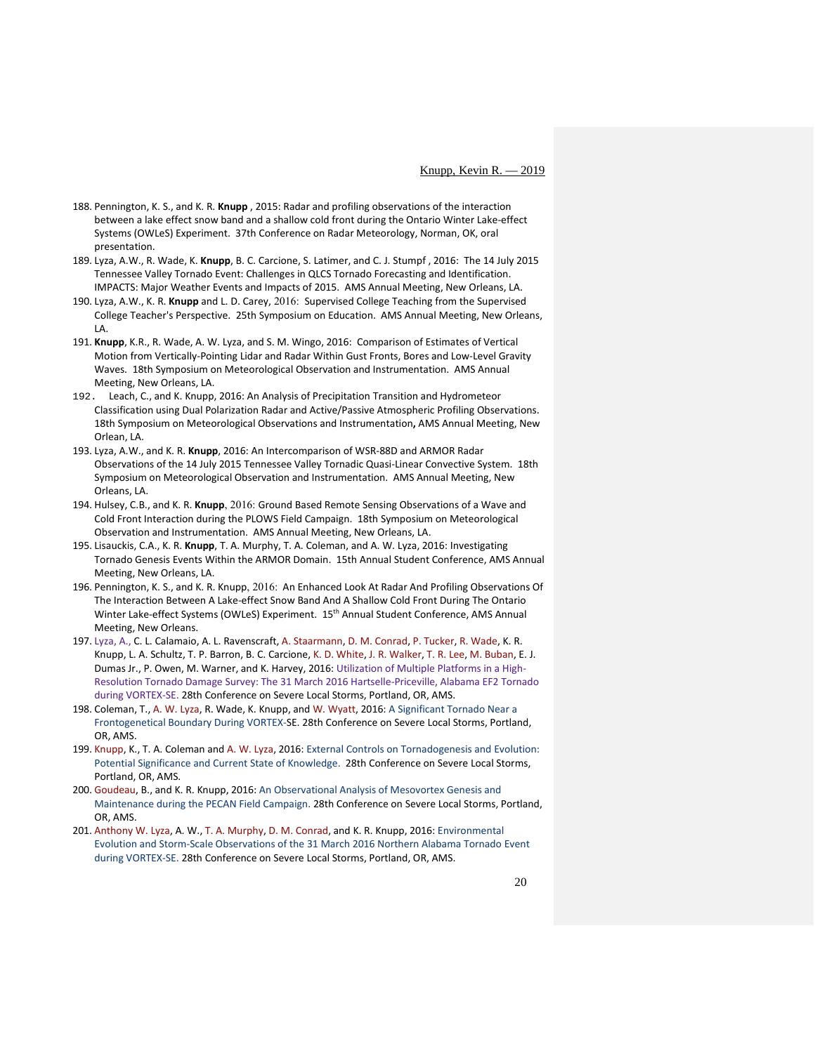- 188. Pennington, K. S., and K. R. **Knupp** , 2015: Radar and profiling observations of the interaction between a lake effect snow band and a shallow cold front during the Ontario Winter Lake-effect Systems (OWLeS) Experiment. 37th Conference on Radar Meteorology, Norman, OK, oral presentation.
- 189. Lyza, A.W., R. Wade, K. **Knupp**, B. C. Carcione, S. Latimer, and C. J. Stumpf , 2016: The 14 July 2015 Tennessee Valley Tornado Event: Challenges in QLCS Tornado Forecasting and Identification. IMPACTS: Major Weather Events and Impacts of 2015. AMS Annual Meeting, New Orleans, LA.
- 190. Lyza, A.W., K. R. **Knupp** and L. D. Carey, 2016: Supervised College Teaching from the Supervised College Teacher's Perspective. 25th Symposium on Education. AMS Annual Meeting, New Orleans, LA.
- 191. **Knupp**, K.R., R. Wade, A. W. Lyza, and S. M. Wingo, 2016: Comparison of Estimates of Vertical Motion from Vertically-Pointing Lidar and Radar Within Gust Fronts, Bores and Low-Level Gravity Waves. 18th Symposium on Meteorological Observation and Instrumentation. AMS Annual Meeting, New Orleans, LA.
- 192. Leach, C., and K. Knupp, 2016: An Analysis of Precipitation Transition and Hydrometeor Classification using Dual Polarization Radar and Active/Passive Atmospheric Profiling Observations. 18th Symposium on Meteorological Observations and Instrumentation**,** AMS Annual Meeting, New Orlean, LA.
- 193. Lyza, A.W., and K. R. **Knupp**, 2016: An Intercomparison of WSR-88D and ARMOR Radar Observations of the 14 July 2015 Tennessee Valley Tornadic Quasi-Linear Convective System. 18th Symposium on Meteorological Observation and Instrumentation. AMS Annual Meeting, New Orleans, LA.
- 194. Hulsey, C.B., and K. R. **Knupp**, 2016: Ground Based Remote Sensing Observations of a Wave and Cold Front Interaction during the PLOWS Field Campaign. 18th Symposium on Meteorological Observation and Instrumentation. AMS Annual Meeting, New Orleans, LA.
- 195. Lisauckis, C.A., K. R. **Knupp**, T. A. Murphy, T. A. Coleman, and A. W. Lyza, 2016: Investigating Tornado Genesis Events Within the ARMOR Domain. 15th Annual Student Conference, AMS Annual Meeting, New Orleans, LA.
- 196. Pennington, K. S., and K. R. Knupp, 2016: An Enhanced Look At Radar And Profiling Observations Of The Interaction Between A Lake-effect Snow Band And A Shallow Cold Front During The Ontario Winter Lake-effect Systems (OWLeS) Experiment. 15th Annual Student Conference, AMS Annual Meeting, New Orleans.
- 197. Lyza, A., C. L. Calamaio, A. L. Ravenscraft, [A. Staarmann,](mailto:ads0026@uah.edu) [D. M. Conrad,](mailto:dconrad@nsstc.uah.edu) [P. Tucker,](mailto:prt0002@uah.edu) [R. Wade,](mailto:rwade@nsstc.uah.edu) K. R. Knupp, L. A. Schultz, T. P. Barron, B. C. Carcione, [K. D. White,](mailto:kris.white@noaa.gov) [J. R. Walker,](mailto:John.R.Walker@noaa.gov) [T. R. Lee,](mailto:temple.lee@noaa.gov) [M. Buban,](mailto:michael.buban@noaa.gov) E. J. Dumas Jr., P. Owen, M. Warner, and K. Harvey, 2016: Utilization of Multiple Platforms in a High-Resolution Tornado Damage Survey: The 31 March 2016 Hartselle-Priceville, Alabama EF2 Tornado during VORTEX-SE. 28th Conference on Severe Local Storms, Portland, OR, AMS.
- 198. Coleman, T.[, A. W. Lyza,](mailto:lyzaa@nsstc.uah.edu) R. Wade, K. Knupp, and [W. Wyatt,](mailto:wwyatt@wbrc.com) 2016: A Significant Tornado Near a Frontogenetical Boundary During VORTEX-SE. 28th Conference on Severe Local Storms, Portland, OR, AMS.
- 199. [Knupp,](mailto:kevin.knupp@uah.edu) K., T. A. Coleman and [A. W. Lyza,](mailto:lyzaa@nsstc.uah.edu) 2016: External Controls on Tornadogenesis and Evolution: Potential Significance and Current State of Knowledge. 28th Conference on Severe Local Storms, Portland, OR, AMS.
- 200. [Goudeau,](mailto:barrett.goudeau@nsstc.uah.edu) B., and K. R. Knupp, 2016: An Observational Analysis of Mesovortex Genesis and Maintenance during the PECAN Field Campaign. 28th Conference on Severe Local Storms, Portland, OR, AMS.
- 201. [Anthony W. Lyza,](mailto:lyzaa@nsstc.uah.edu) A. W.[, T. A. Murphy,](mailto:murphy@ulm.edu) [D. M. Conrad,](mailto:dconrad@nsstc.uah.edu) and K. R. Knupp, 2016: Environmental Evolution and Storm-Scale Observations of the 31 March 2016 Northern Alabama Tornado Event during VORTEX-SE. 28th Conference on Severe Local Storms, Portland, OR, AMS.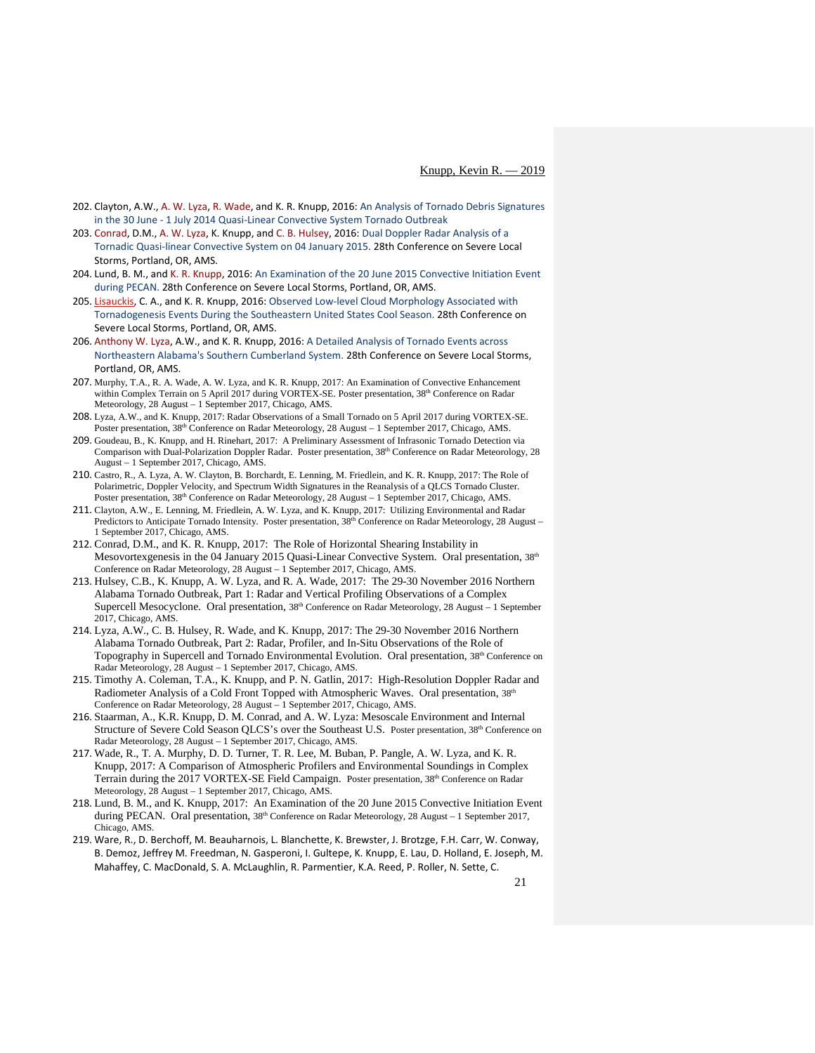- 202. Clayton, A.W.[, A. W. Lyza,](mailto:lyzaa@nsstc.uah.edu) [R. Wade,](mailto:rwade@nsstc.uah.edu) and K. R. Knupp, 2016: An Analysis of Tornado Debris Signatures in the 30 June - 1 July 2014 Quasi-Linear Convective System Tornado Outbreak
- 203. [Conrad,](mailto:dconrad@nsstc.uah.edu) D.M.[, A. W. Lyza,](mailto:lyzaa@nsstc.uah.edu) K. Knupp, and [C. B. Hulsey,](mailto:cbh0014@uah.edu) 2016: Dual Doppler Radar Analysis of a Tornadic Quasi-linear Convective System on 04 January 2015. 28th Conference on Severe Local Storms, Portland, OR, AMS.
- 204. Lund, B. M., an[d K. R. Knupp,](mailto:kevin.knupp@uah.edu) 2016: An Examination of the 20 June 2015 Convective Initiation Event during PECAN. 28th Conference on Severe Local Storms, Portland, OR, AMS.
- 205. [Lisauckis,](mailto:cal0017@uah.edu) C. A., and K. R. Knupp, 2016: Observed Low-level Cloud Morphology Associated with Tornadogenesis Events During the Southeastern United States Cool Season. 28th Conference on Severe Local Storms, Portland, OR, AMS.
- 206. [Anthony W. Lyza,](mailto:lyzaa@nsstc.uah.edu) A.W., and K. R. Knupp, 2016: A Detailed Analysis of Tornado Events across Northeastern Alabama's Southern Cumberland System. 28th Conference on Severe Local Storms, Portland, OR, AMS.
- 207. Murphy, T.A., R. A. Wade, A. W. Lyza, and K. R. Knupp, 2017: An Examination of Convective Enhancement within Complex Terrain on 5 April 2017 during VORTEX-SE. Poster presentation, 38<sup>th</sup> Conference on Radar Meteorology, 28 August – 1 September 2017, Chicago, AMS.
- 208. Lyza, A.W., and K. Knupp, 2017: Radar Observations of a Small Tornado on 5 April 2017 during VORTEX-SE. Poster presentation, 38<sup>th</sup> Conference on Radar Meteorology, 28 August – 1 September 2017, Chicago, AMS.
- 209. Goudeau, B., K. Knupp, and H. Rinehart, 2017: A Preliminary Assessment of Infrasonic Tornado Detection via Comparison with Dual-Polarization Doppler Radar. Poster presentation, 38th Conference on Radar Meteorology, 28 August – 1 September 2017, Chicago, AMS.
- 210. Castro, R., A. Lyza, A. W. Clayton, B. Borchardt, E. Lenning, M. Friedlein, and K. R. Knupp, 2017: The Role of Polarimetric, Doppler Velocity, and Spectrum Width Signatures in the Reanalysis of a QLCS Tornado Cluster. Poster presentation, 38<sup>th</sup> Conference on Radar Meteorology, 28 August - 1 September 2017, Chicago, AMS.
- 211. Clayton, A.W., E. Lenning, M. Friedlein, A. W. Lyza, and K. Knupp, 2017: Utilizing Environmental and Radar Predictors to Anticipate Tornado Intensity. Poster presentation, 38<sup>th</sup> Conference on Radar Meteorology, 28 August – 1 September 2017, Chicago, AMS.
- 212. Conrad, D.M., and K. R. Knupp, 2017: The Role of Horizontal Shearing Instability in Mesovortexgenesis in the 04 January 2015 Quasi-Linear Convective System. Oral presentation, 38<sup>th</sup> Conference on Radar Meteorology, 28 August – 1 September 2017, Chicago, AMS.
- 213. Hulsey, C.B., K. Knupp, A. W. Lyza, and R. A. Wade, 2017: The 29-30 November 2016 Northern Alabama Tornado Outbreak, Part 1: Radar and Vertical Profiling Observations of a Complex Supercell Mesocyclone. Oral presentation, 38<sup>th</sup> Conference on Radar Meteorology, 28 August - 1 September 2017, Chicago, AMS.
- 214. Lyza, A.W., C. B. Hulsey, R. Wade, and K. Knupp, 2017: The 29-30 November 2016 Northern Alabama Tornado Outbreak, Part 2: Radar, Profiler, and In-Situ Observations of the Role of Topography in Supercell and Tornado Environmental Evolution. Oral presentation, 38<sup>th</sup> Conference on Radar Meteorology, 28 August – 1 September 2017, Chicago, AMS.
- 215. Timothy A. Coleman, T.A., K. Knupp, and P. N. Gatlin, 2017: High-Resolution Doppler Radar and Radiometer Analysis of a Cold Front Topped with Atmospheric Waves. Oral presentation, 38th Conference on Radar Meteorology, 28 August – 1 September 2017, Chicago, AMS.
- 216. Staarman, A., K.R. Knupp, D. M. Conrad, and A. W. Lyza: Mesoscale Environment and Internal Structure of Severe Cold Season QLCS's over the Southeast U.S. Poster presentation, 38<sup>th</sup> Conference on Radar Meteorology, 28 August – 1 September 2017, Chicago, AMS.
- 217. Wade, R., T. A. Murphy, D. D. Turner, T. R. Lee, M. Buban, P. Pangle, A. W. Lyza, and K. R. Knupp, 2017: A Comparison of Atmospheric Profilers and Environmental Soundings in Complex Terrain during the 2017 VORTEX-SE Field Campaign. Poster presentation, 38<sup>th</sup> Conference on Radar Meteorology, 28 August – 1 September 2017, Chicago, AMS.
- 218. Lund, B. M., and K. Knupp, 2017: An Examination of the 20 June 2015 Convective Initiation Event during PECAN. Oral presentation, 38<sup>th</sup> Conference on Radar Meteorology, 28 August – 1 September 2017, Chicago, AMS.
- 219. Ware, R., D. Berchoff, M. Beauharnois, L. Blanchette, K. Brewster, J. Brotzge, F.H. Carr, W. Conway, B. Demoz, Jeffrey M. Freedman, N. Gasperoni, I. Gultepe, K. Knupp, E. Lau, D. Holland, E. Joseph, M. Mahaffey, C. MacDonald, S. A. McLaughlin, R. Parmentier, K.A. Reed, P. Roller, N. Sette, C.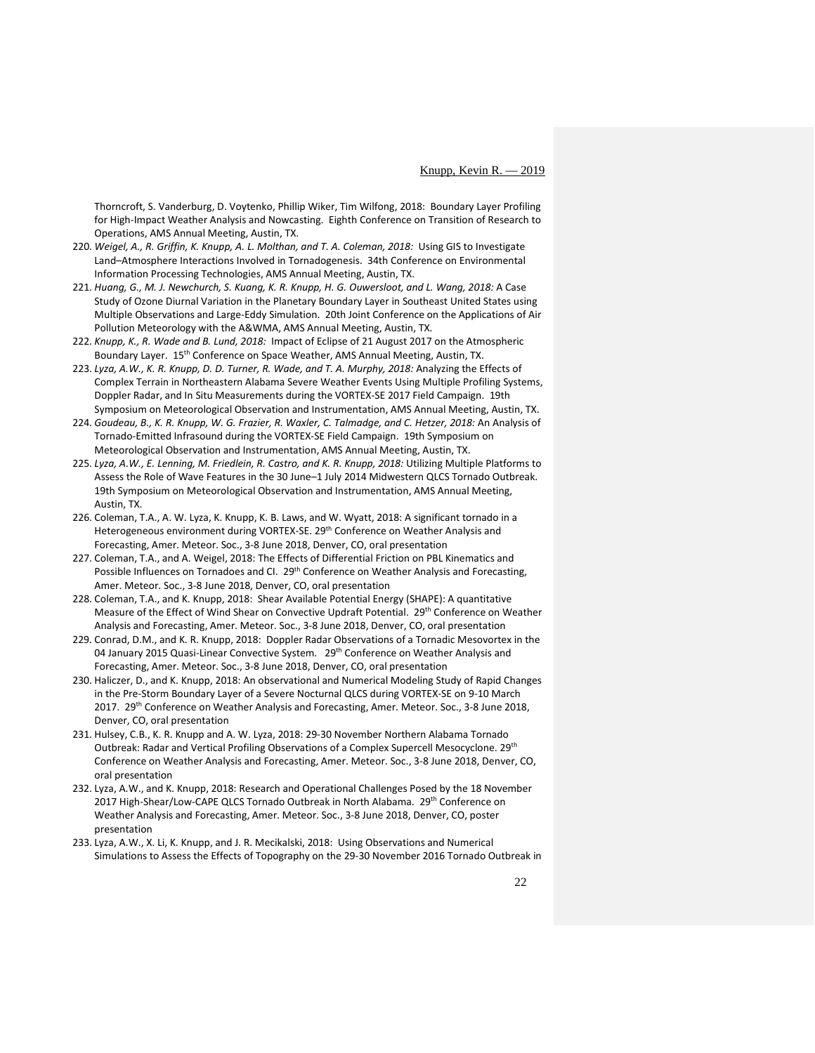Thorncroft, S. Vanderburg, D. Voytenko, Phillip Wiker, [Tim Wilfong,](https://ams.confex.com/ams/98Annual/meetingapp.cgi/Person/178340) 2018: Boundary Layer Profiling for High-Impact Weather Analysis and Nowcasting. Eighth Conference on Transition of Research to Operations, AMS Annual Meeting, Austin, TX.

- 220. *Weigel, A., R. Griffin, K. Knupp[, A. L. Molthan,](mailto:andrew.molthan@nasa.gov) an[d T. A. Coleman,](mailto:coleman@nsstc.uah.edu) 2018:* [Using GIS to Investigate](https://ams.confex.com/ams/98Annual/meetingapp.cgi/Paper/337078)  [Land–Atmosphere Interactions Involved in Tornadogenesis.](https://ams.confex.com/ams/98Annual/meetingapp.cgi/Paper/337078) 34th Conference on Environmental Information Processing Technologies, AMS Annual Meeting, Austin, TX.
- 221. *Huang, G., M. J. Newchurch, S. Kuang, K. R. Knupp[, H. G. Ouwersloot,](mailto:huug.ouwersloot@mpic.de) and L. Wang, 2018:* [A Case](https://ams.confex.com/ams/98Annual/meetingapp.cgi/Paper/333810)  [Study of Ozone Diurnal Variation in the Planetary Boundary Layer in Southeast United States using](https://ams.confex.com/ams/98Annual/meetingapp.cgi/Paper/333810)  [Multiple Observations and Large-Eddy Simulation.](https://ams.confex.com/ams/98Annual/meetingapp.cgi/Paper/333810) 20th Joint Conference on the Applications of Air Pollution Meteorology with the A&WMA, AMS Annual Meeting, Austin, TX.
- 222. *Knupp, K., [R. Wade](https://ams.confex.com/ams/98Annual/meetingapp.cgi/Paper/335682) and B. Lund, 2018:* [Impact of Eclipse of 21 August 2017 on the Atmospheric](https://ams.confex.com/ams/98Annual/meetingapp.cgi/Paper/335682)  [Boundary Layer.](https://ams.confex.com/ams/98Annual/meetingapp.cgi/Paper/335682) 15<sup>th</sup> Conference on Space Weather, AMS Annual Meeting, Austin, TX.
- 223. *[Lyza,](mailto:lyzaa@nsstc.uah.edu) A.W., K. R. Knupp, [D. D. Turner,](mailto:dave.turner@noaa.gov) [R. Wade,](mailto:rwade@nsstc.uah.edu) and [T. A. Murphy,](mailto:murphy@ulm.edu) 2018:* [Analyzing the Effects of](https://ams.confex.com/ams/98Annual/meetingapp.cgi/Paper/336209)  [Complex Terrain in Northeastern Alabama Severe Weather Events Using Multiple Profiling Systems,](https://ams.confex.com/ams/98Annual/meetingapp.cgi/Paper/336209)  [Doppler Radar, and In Situ Measurements during the VORTEX-SE 2017 Field Campaign.](https://ams.confex.com/ams/98Annual/meetingapp.cgi/Paper/336209) 19th Symposium on Meteorological Observation and Instrumentation, AMS Annual Meeting, Austin, TX.
- 224. *[Goudeau,](mailto:barrett.goudeau@nsstc.uah.edu) B., K. R. Knupp, W. G. Frazier, R. Waxler, C. Talmadge, and C. Hetzer, 2018:* [An Analysis of](https://ams.confex.com/ams/98Annual/meetingapp.cgi/Paper/336214)  [Tornado-Emitted Infrasound during the VORTEX-SE Field Campaign.](https://ams.confex.com/ams/98Annual/meetingapp.cgi/Paper/336214) 19th Symposium on Meteorological Observation and Instrumentation, AMS Annual Meeting, Austin, TX.
- 225. *[Lyza, A.W., E. Lenning, M. Friedlein, R. Castro, and K. R. Knupp, 2018:](https://ams.confex.com/ams/98Annual/meetingapp.cgi/Paper/336271) Utilizing Multiple Platforms to* [Assess the Role of Wave Features in the 30 June–1 July 2014 Midwestern QLCS Tornado Outbreak.](https://ams.confex.com/ams/98Annual/meetingapp.cgi/Paper/336271) 19th Symposium on Meteorological Observation and Instrumentation, AMS Annual Meeting, Austin, TX.
- 226. Coleman, T.A., A. W. Lyza, K. Knupp, K. B. Laws, and W. Wyatt, 2018: A significant tornado in a Heterogeneous environment during VORTEX-SE. 29<sup>th</sup> Conference on Weather Analysis and Forecasting, Amer. Meteor. Soc., 3-8 June 2018, Denver, CO, oral presentation
- 227. Coleman, T.A., and A. Weigel, 2018: The Effects of Differential Friction on PBL Kinematics and Possible Influences on Tornadoes and CI. 29<sup>th</sup> Conference on Weather Analysis and Forecasting, Amer. Meteor. Soc., 3-8 June 2018, Denver, CO, oral presentation
- 228. Coleman, T.A., and K. Knupp, 2018: Shear Available Potential Energy (SHAPE): A quantitative Measure of the Effect of Wind Shear on Convective Updraft Potential. 29<sup>th</sup> Conference on Weather Analysis and Forecasting, Amer. Meteor. Soc., 3-8 June 2018, Denver, CO, oral presentation
- 229. Conrad, D.M., and K. R. Knupp, 2018: Doppler Radar Observations of a Tornadic Mesovortex in the 04 January 2015 Quasi-Linear Convective System. 29th Conference on Weather Analysis and Forecasting, Amer. Meteor. Soc., 3-8 June 2018, Denver, CO, oral presentation
- 230. Haliczer, D., and K. Knupp, 2018: An observational and Numerical Modeling Study of Rapid Changes in the Pre-Storm Boundary Layer of a Severe Nocturnal QLCS during VORTEX-SE on 9-10 March 2017. 29<sup>th</sup> Conference on Weather Analysis and Forecasting, Amer. Meteor. Soc., 3-8 June 2018, Denver, CO, oral presentation
- 231. Hulsey, C.B., K. R. Knupp and A. W. Lyza, 2018: 29-30 November Northern Alabama Tornado Outbreak: Radar and Vertical Profiling Observations of a Complex Supercell Mesocyclone. 29th Conference on Weather Analysis and Forecasting, Amer. Meteor. Soc., 3-8 June 2018, Denver, CO, oral presentation
- 232. Lyza, A.W., and K. Knupp, 2018: Research and Operational Challenges Posed by the 18 November 2017 High-Shear/Low-CAPE QLCS Tornado Outbreak in North Alabama. 29th Conference on Weather Analysis and Forecasting, Amer. Meteor. Soc., 3-8 June 2018, Denver, CO, poster presentation
- 233. Lyza, A.W., X. Li, K. Knupp, and J. R. Mecikalski, 2018: Using Observations and Numerical Simulations to Assess the Effects of Topography on the 29-30 November 2016 Tornado Outbreak in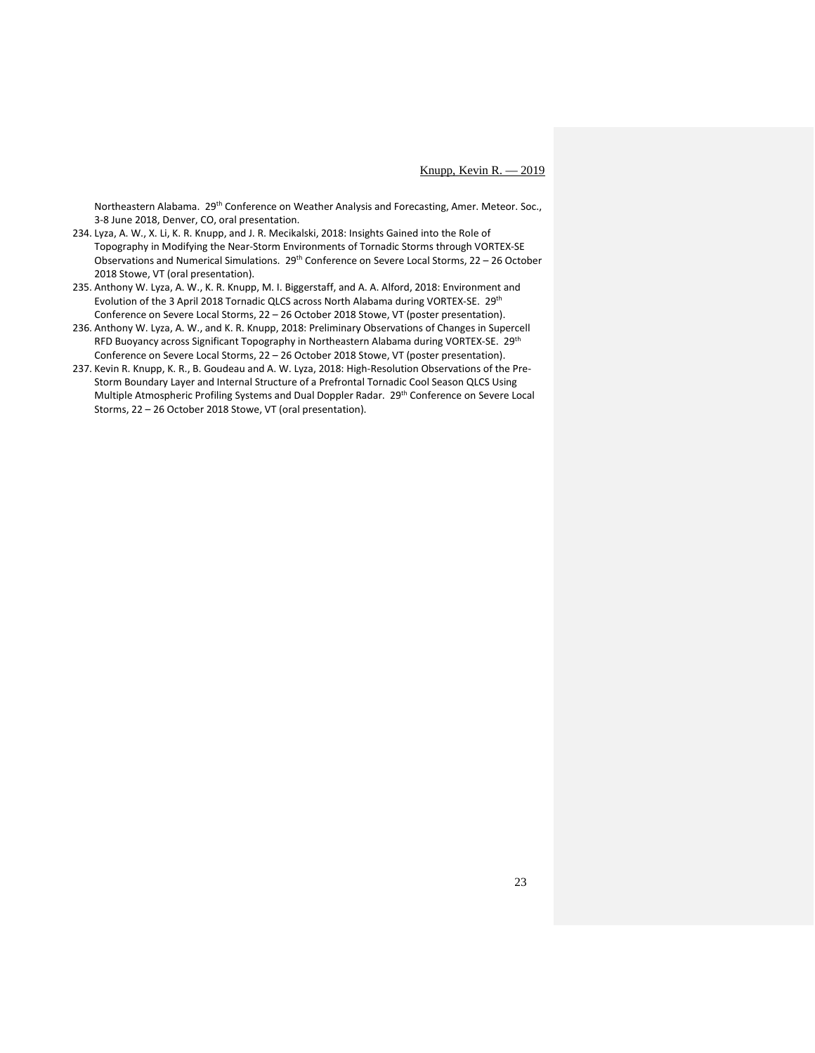Northeastern Alabama. 29<sup>th</sup> Conference on Weather Analysis and Forecasting, Amer. Meteor. Soc., 3-8 June 2018, Denver, CO, oral presentation.

- 234. Lyza, A. W., X. Li, K. R. Knupp, and J. R. Mecikalski, 2018: Insights Gained into the Role of Topography in Modifying the Near-Storm Environments of Tornadic Storms through VORTEX-SE Observations and Numerical Simulations. 29<sup>th</sup> Conference on Severe Local Storms, 22 - 26 October 2018 Stowe, VT (oral presentation).
- 235. Anthony W. Lyza, A. W., K. R. Knupp, M. I. Biggerstaff, and A. A. Alford, 2018: Environment and Evolution of the 3 April 2018 Tornadic QLCS across North Alabama during VORTEX-SE. 29th Conference on Severe Local Storms, 22 – 26 October 2018 Stowe, VT (poster presentation).
- 236. Anthony W. Lyza, A. W., and K. R. Knupp, 2018: Preliminary Observations of Changes in Supercell RFD Buoyancy across Significant Topography in Northeastern Alabama during VORTEX-SE. 29th Conference on Severe Local Storms, 22 – 26 October 2018 Stowe, VT (poster presentation).
- 237. Kevin R. Knupp, K. R., B. Goudeau and A. W. Lyza, 2018: High-Resolution Observations of the Pre-Storm Boundary Layer and Internal Structure of a Prefrontal Tornadic Cool Season QLCS Using Multiple Atmospheric Profiling Systems and Dual Doppler Radar. 29th Conference on Severe Local Storms, 22 – 26 October 2018 Stowe, VT (oral presentation).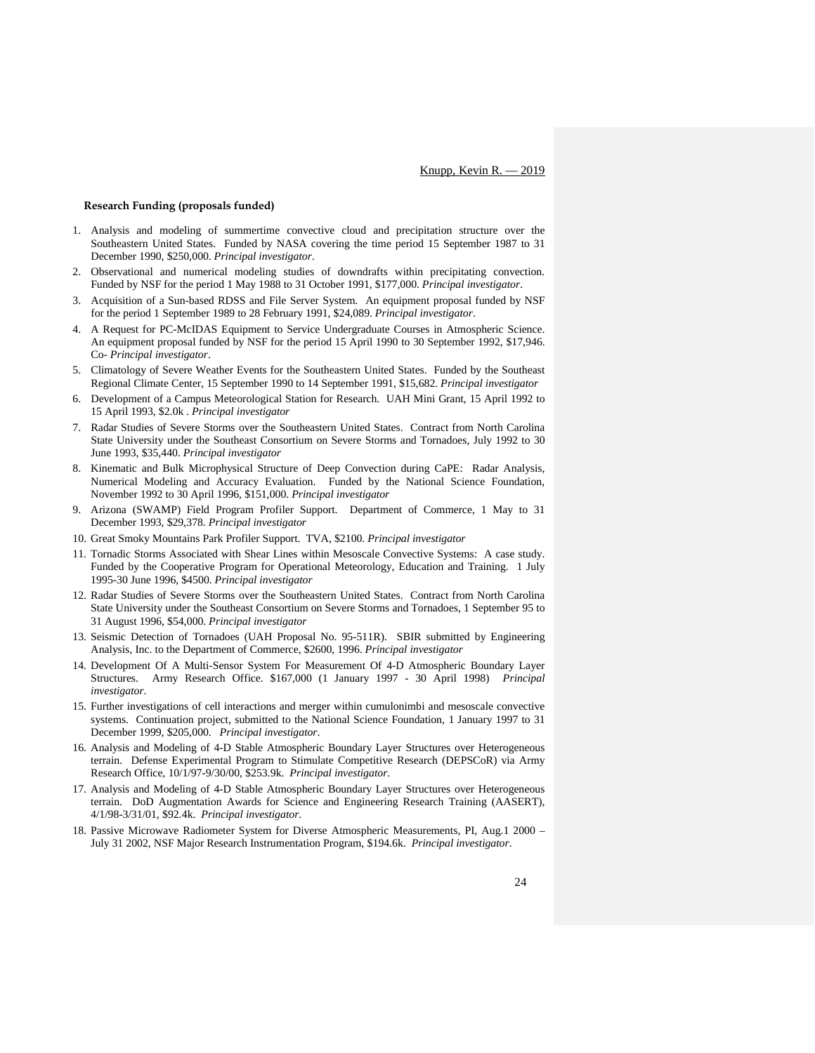# **Research Funding (proposals funded)**

- 1. Analysis and modeling of summertime convective cloud and precipitation structure over the Southeastern United States. Funded by NASA covering the time period 15 September 1987 to 31 December 1990, \$250,000. *Principal investigator*.
- 2. Observational and numerical modeling studies of downdrafts within precipitating convection. Funded by NSF for the period 1 May 1988 to 31 October 1991, \$177,000. *Principal investigator*.
- 3. Acquisition of a Sun-based RDSS and File Server System. An equipment proposal funded by NSF for the period 1 September 1989 to 28 February 1991, \$24,089. *Principal investigator*.
- 4. A Request for PC-McIDAS Equipment to Service Undergraduate Courses in Atmospheric Science. An equipment proposal funded by NSF for the period 15 April 1990 to 30 September 1992, \$17,946. Co- *Principal investigator*.
- 5. Climatology of Severe Weather Events for the Southeastern United States. Funded by the Southeast Regional Climate Center, 15 September 1990 to 14 September 1991, \$15,682. *Principal investigator*
- 6. Development of a Campus Meteorological Station for Research. UAH Mini Grant, 15 April 1992 to 15 April 1993, \$2.0k . *Principal investigator*
- 7. Radar Studies of Severe Storms over the Southeastern United States. Contract from North Carolina State University under the Southeast Consortium on Severe Storms and Tornadoes, July 1992 to 30 June 1993, \$35,440. *Principal investigator*
- 8. Kinematic and Bulk Microphysical Structure of Deep Convection during CaPE: Radar Analysis, Numerical Modeling and Accuracy Evaluation. Funded by the National Science Foundation, November 1992 to 30 April 1996, \$151,000. *Principal investigator*
- 9. Arizona (SWAMP) Field Program Profiler Support. Department of Commerce, 1 May to 31 December 1993, \$29,378. *Principal investigator*
- 10. Great Smoky Mountains Park Profiler Support. TVA, \$2100. *Principal investigator*
- 11. Tornadic Storms Associated with Shear Lines within Mesoscale Convective Systems: A case study. Funded by the Cooperative Program for Operational Meteorology, Education and Training. 1 July 1995-30 June 1996, \$4500. *Principal investigator*
- 12. Radar Studies of Severe Storms over the Southeastern United States. Contract from North Carolina State University under the Southeast Consortium on Severe Storms and Tornadoes, 1 September 95 to 31 August 1996, \$54,000. *Principal investigator*
- 13. Seismic Detection of Tornadoes (UAH Proposal No. 95-511R). SBIR submitted by Engineering Analysis, Inc. to the Department of Commerce, \$2600, 1996. *Principal investigator*
- 14. Development Of A Multi-Sensor System For Measurement Of 4-D Atmospheric Boundary Layer Structures. Army Research Office. \$167,000 (1 January 1997 - 30 April 1998) *Principal investigator*.
- 15. Further investigations of cell interactions and merger within cumulonimbi and mesoscale convective systems. Continuation project, submitted to the National Science Foundation, 1 January 1997 to 31 December 1999, \$205,000. *Principal investigator*.
- 16. Analysis and Modeling of 4-D Stable Atmospheric Boundary Layer Structures over Heterogeneous terrain. Defense Experimental Program to Stimulate Competitive Research (DEPSCoR) via Army Research Office, 10/1/97-9/30/00, \$253.9k. *Principal investigator*.
- 17. Analysis and Modeling of 4-D Stable Atmospheric Boundary Layer Structures over Heterogeneous terrain. DoD Augmentation Awards for Science and Engineering Research Training (AASERT), 4/1/98-3/31/01, \$92.4k. *Principal investigator*.
- 18. Passive Microwave Radiometer System for Diverse Atmospheric Measurements, PI, Aug.1 2000 July 31 2002, NSF Major Research Instrumentation Program, \$194.6k. *Principal investigator*.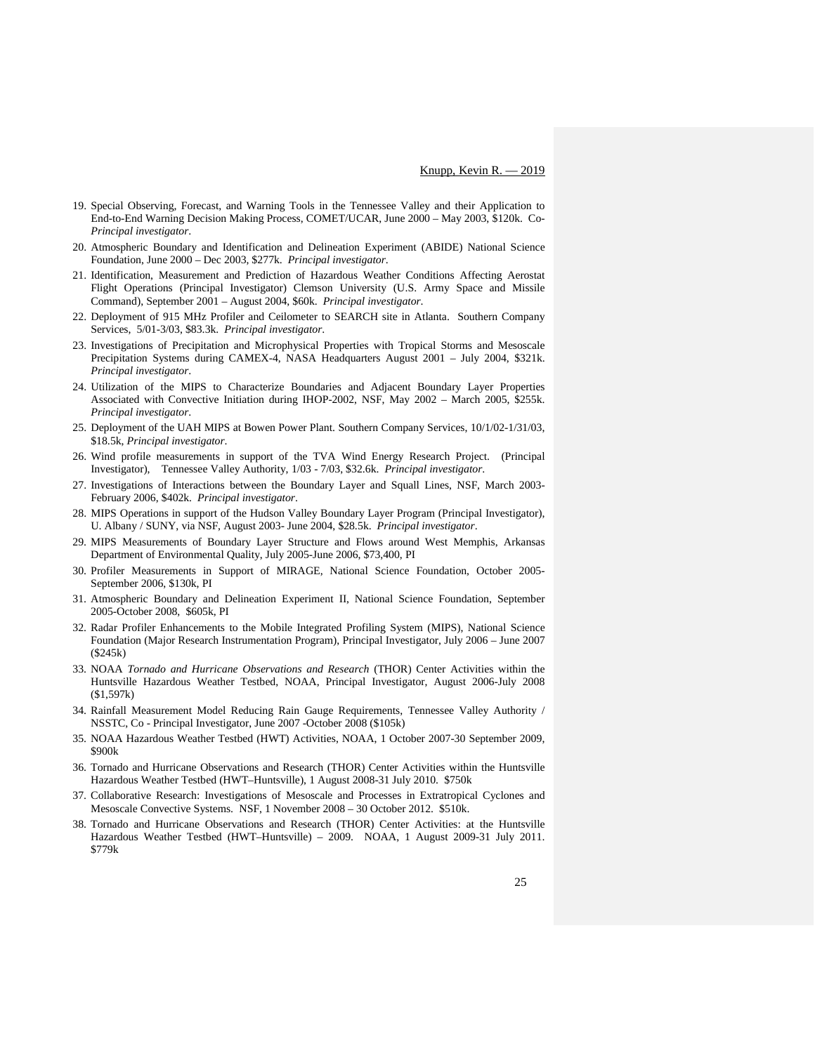- 19. Special Observing, Forecast, and Warning Tools in the Tennessee Valley and their Application to End-to-End Warning Decision Making Process, COMET/UCAR, June 2000 – May 2003, \$120k. Co-*Principal investigator*.
- 20. Atmospheric Boundary and Identification and Delineation Experiment (ABIDE) National Science Foundation, June 2000 – Dec 2003, \$277k. *Principal investigator*.
- 21. Identification, Measurement and Prediction of Hazardous Weather Conditions Affecting Aerostat Flight Operations (Principal Investigator) Clemson University (U.S. Army Space and Missile Command), September 2001 – August 2004, \$60k. *Principal investigator*.
- 22. Deployment of 915 MHz Profiler and Ceilometer to SEARCH site in Atlanta. Southern Company Services, 5/01-3/03, \$83.3k. *Principal investigator*.
- 23. Investigations of Precipitation and Microphysical Properties with Tropical Storms and Mesoscale Precipitation Systems during CAMEX-4, NASA Headquarters August 2001 – July 2004, \$321k. *Principal investigator*.
- 24. Utilization of the MIPS to Characterize Boundaries and Adjacent Boundary Layer Properties Associated with Convective Initiation during IHOP-2002, NSF, May 2002 – March 2005, \$255k. *Principal investigator*.
- 25. Deployment of the UAH MIPS at Bowen Power Plant. Southern Company Services, 10/1/02-1/31/03, \$18.5k, *Principal investigator*.
- 26. Wind profile measurements in support of the TVA Wind Energy Research Project. (Principal Investigator), Tennessee Valley Authority, 1/03 - 7/03, \$32.6k. *Principal investigator*.
- 27. Investigations of Interactions between the Boundary Layer and Squall Lines, NSF, March 2003- February 2006, \$402k. *Principal investigator*.
- 28. MIPS Operations in support of the Hudson Valley Boundary Layer Program (Principal Investigator), U. Albany / SUNY, via NSF, August 2003- June 2004, \$28.5k. *Principal investigator*.
- 29. MIPS Measurements of Boundary Layer Structure and Flows around West Memphis, Arkansas Department of Environmental Quality, July 2005-June 2006, \$73,400, PI
- 30. Profiler Measurements in Support of MIRAGE, National Science Foundation, October 2005- September 2006, \$130k, PI
- 31. Atmospheric Boundary and Delineation Experiment II, National Science Foundation, September 2005-October 2008, \$605k, PI
- 32. Radar Profiler Enhancements to the Mobile Integrated Profiling System (MIPS), National Science Foundation (Major Research Instrumentation Program), Principal Investigator, July 2006 – June 2007 (\$245k)
- 33. NOAA *Tornado and Hurricane Observations and Research* (THOR) Center Activities within the Huntsville Hazardous Weather Testbed, NOAA, Principal Investigator, August 2006-July 2008 (\$1,597k)
- 34. Rainfall Measurement Model Reducing Rain Gauge Requirements, Tennessee Valley Authority / NSSTC, Co - Principal Investigator, June 2007 -October 2008 (\$105k)
- 35. NOAA Hazardous Weather Testbed (HWT) Activities, NOAA, 1 October 2007-30 September 2009, \$900k
- 36. Tornado and Hurricane Observations and Research (THOR) Center Activities within the Huntsville Hazardous Weather Testbed (HWT–Huntsville), 1 August 2008-31 July 2010. \$750k
- 37. Collaborative Research: Investigations of Mesoscale and Processes in Extratropical Cyclones and Mesoscale Convective Systems. NSF, 1 November 2008 – 30 October 2012. \$510k.
- 38. Tornado and Hurricane Observations and Research (THOR) Center Activities: at the Huntsville Hazardous Weather Testbed (HWT–Huntsville) – 2009. NOAA, 1 August 2009-31 July 2011. \$779k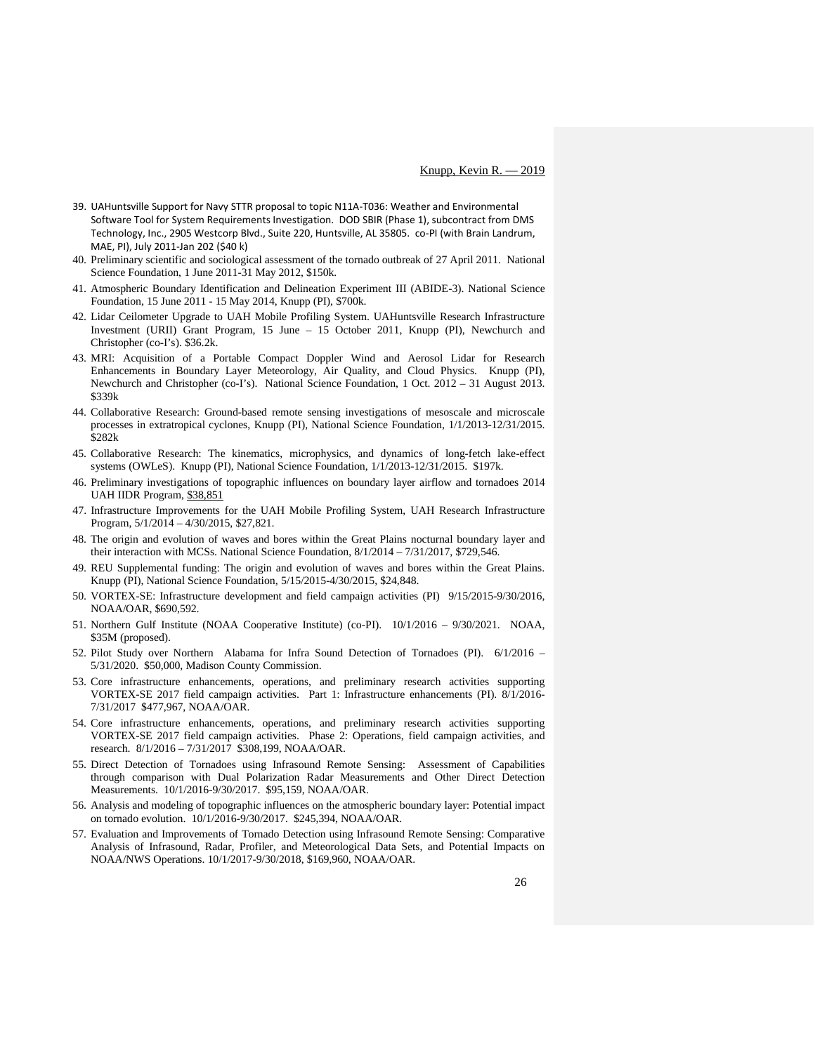- 39. UAHuntsville Support for Navy STTR proposal to topic N11A-T036: Weather and Environmental Software Tool for System Requirements Investigation. DOD SBIR (Phase 1), subcontract from DMS Technology, Inc., 2905 Westcorp Blvd., Suite 220, Huntsville, AL 35805. co-PI (with Brain Landrum, MAE, PI), July 2011-Jan 202 (\$40 k)
- 40. Preliminary scientific and sociological assessment of the tornado outbreak of 27 April 2011. National Science Foundation, 1 June 2011-31 May 2012, \$150k.
- 41. Atmospheric Boundary Identification and Delineation Experiment III (ABIDE-3). National Science Foundation, 15 June 2011 - 15 May 2014, Knupp (PI), \$700k.
- 42. Lidar Ceilometer Upgrade to UAH Mobile Profiling System. UAHuntsville Research Infrastructure Investment (URII) Grant Program, 15 June – 15 October 2011, Knupp (PI), Newchurch and Christopher (co-I's). \$36.2k.
- 43. MRI: Acquisition of a Portable Compact Doppler Wind and Aerosol Lidar for Research Enhancements in Boundary Layer Meteorology, Air Quality, and Cloud Physics. Knupp (PI), Newchurch and Christopher (co-I's). National Science Foundation, 1 Oct. 2012 – 31 August 2013. \$339k
- 44. Collaborative Research: Ground-based remote sensing investigations of mesoscale and microscale processes in extratropical cyclones, Knupp (PI), National Science Foundation, 1/1/2013-12/31/2015. \$282k
- 45. Collaborative Research: The kinematics, microphysics, and dynamics of long-fetch lake-effect systems (OWLeS). Knupp (PI), National Science Foundation, 1/1/2013-12/31/2015. \$197k.
- 46. Preliminary investigations of topographic influences on boundary layer airflow and tornadoes 2014 UAH IIDR Program, \$38,851
- 47. Infrastructure Improvements for the UAH Mobile Profiling System, UAH Research Infrastructure Program, 5/1/2014 – 4/30/2015, \$27,821.
- 48. The origin and evolution of waves and bores within the Great Plains nocturnal boundary layer and their interaction with MCSs. National Science Foundation, 8/1/2014 – 7/31/2017, \$729,546.
- 49. REU Supplemental funding: The origin and evolution of waves and bores within the Great Plains. Knupp (PI), National Science Foundation, 5/15/2015-4/30/2015, \$24,848.
- 50. VORTEX-SE: Infrastructure development and field campaign activities (PI) 9/15/2015-9/30/2016, NOAA/OAR, \$690,592.
- 51. Northern Gulf Institute (NOAA Cooperative Institute) (co-PI). 10/1/2016 9/30/2021. NOAA, \$35M (proposed).
- 52. Pilot Study over Northern Alabama for Infra Sound Detection of Tornadoes (PI). 6/1/2016 5/31/2020. \$50,000, Madison County Commission.
- 53. Core infrastructure enhancements, operations, and preliminary research activities supporting VORTEX-SE 2017 field campaign activities. Part 1: Infrastructure enhancements (PI). 8/1/2016- 7/31/2017 \$477,967, NOAA/OAR.
- 54. Core infrastructure enhancements, operations, and preliminary research activities supporting VORTEX-SE 2017 field campaign activities. Phase 2: Operations, field campaign activities, and research. 8/1/2016 – 7/31/2017 \$308,199, NOAA/OAR.
- 55. Direct Detection of Tornadoes using Infrasound Remote Sensing: Assessment of Capabilities through comparison with Dual Polarization Radar Measurements and Other Direct Detection Measurements. 10/1/2016-9/30/2017. \$95,159, NOAA/OAR.
- 56. Analysis and modeling of topographic influences on the atmospheric boundary layer: Potential impact on tornado evolution. 10/1/2016-9/30/2017. \$245,394, NOAA/OAR.
- 57. Evaluation and Improvements of Tornado Detection using Infrasound Remote Sensing: Comparative Analysis of Infrasound, Radar, Profiler, and Meteorological Data Sets, and Potential Impacts on NOAA/NWS Operations. 10/1/2017-9/30/2018, \$169,960, NOAA/OAR.